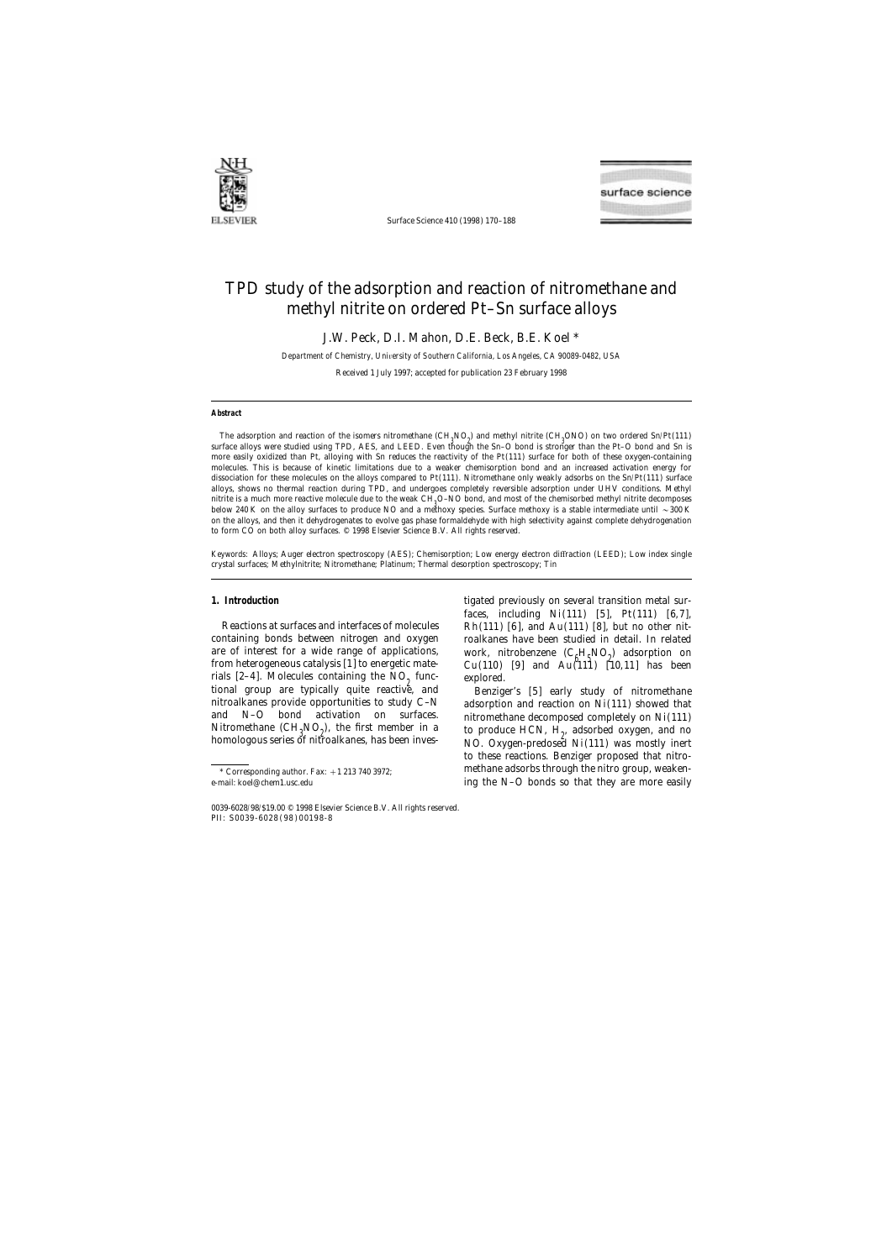

Surface Science 410 (1998) 170–188



### TPD study of the adsorption and reaction of nitromethane and methyl nitrite on ordered Pt–Sn surface alloys

J.W. Peck, D.I. Mahon, D.E. Beck, B.E. Koel \*

*Department of Chemistry, Uni*v*ersity of Southern California, Los Angeles, CA 90089-0482, USA*

Received 1 July 1997; accepted for publication 23 February 1998

### **Abstract**

The adsorption and reaction of the isomers nitromethane  $(CH_3NO_2)$  and methyl nitrite  $(CH_3ONO)$  on two ordered Sn/Pt(111) surface alloys were studied using TPD, AES, and LEED. Even though the Sn–O bond is stronger than the Pt–O bond and Sn is more easily oxidized than Pt, alloying with Sn reduces the reactivity of the Pt(111) surface for both of these oxygen-containing molecules. This is because of kinetic limitations due to a weaker chemisorption bond and an increased activation energy for dissociation for these molecules on the alloys compared to Pt(111). Nitromethane only weakly adsorbs on the Sn/Pt(111) surface alloys, shows no thermal reaction during TPD, and undergoes completely reversible adsorption under UHV conditions. Methyl nitrite is a much more reactive molecule due to the weak CH<sub>3</sub>O–NO bond, and most of the chemisorbed methyl nitrite decomposes<br>helew 240 K an the alley gurface to nucluse NO and a mathemy mesica. Surface methory is a stabl below 240 K on the alloy surfaces to produce NO and a methoxy species. Surface methoxy is a stable intermediate until  $\sim$ 300 K on the alloys, and then it dehydrogenates to evolve gas phase formaldehyde with high selectivity against complete dehydrogenation to form CO on both alloy surfaces. © 1998 Elsevier Science B.V. All rights reserved.

*Keywords:* Alloys; Auger electron spectroscopy (AES); Chemisorption; Low energy electron diffraction (LEED); Low index single crystal surfaces; Methylnitrite; Nitromethane; Platinum; Thermal desorption spectroscopy; Tin

are of interest for a wide range of applications, from heterogeneous catalysis  $[1]$  to energetic materials [2-4]. Molecules containing the  $NO_2$  func-<br>tional group are typically quite reactive, and Benziger's [5] early study of nitromethane tional group are typically quite reactive, and nitroalkanes provide opportunities to study  $C-N$ nitroalkanes provide opportunities to study  $C-N$  adsorption and reaction on Ni(111) showed that and N-O bond activation on surfaces.  $\frac{1}{2}$  nitromethane decomposed completely on Ni(111) and N–O bond activation on surfaces. nitromethane decomposed completely on Ni(111)<br>Nitromethane (CH<sub>3</sub>NO<sub>2</sub>), the first member in a to produce HCN, H<sub>2</sub>, adsorbed oxygen, and no<br>homologous series of nitroalkanes has been

**1. Introduction** tigated previously on several transition metal surfaces, including  $Ni(111)$  [5],  $Pt(111)$  [6,7], Reactions at surfaces and interfaces of molecules Rh(111) [6], and Au(111) [8], but no other nitcontaining bonds between nitrogen and oxygen roalkanes have been studied in detail. In related  $H_rNO_2$ ) adsorption on<br>113) F10,111 has been  $Cu(110)$  [9] and Au(111) [10,11] has been

Nitromethane  $(\text{CH}_3\text{NO}_2)$ , the first member in a to produce HCN, H<sub>2</sub>, adsorbed oxygen, and no homologous series of nitroalkanes, has been inves-<br>NO. Oxygen-predosed Ni(111) was mostly inert to these reactions. Benziger proposed that nitromethane adsorbs through the nitro group, weaken- \* Corresponding author. Fax: <sup>+</sup>1 213 740 3972; ing the N–O bonds so that they are more easily

<sup>0039-6028</sup>/98/\$19.00 © 1998 Elsevier Science B.V. All rights reserved. PII: S0039-6028 ( 98 ) 00198-8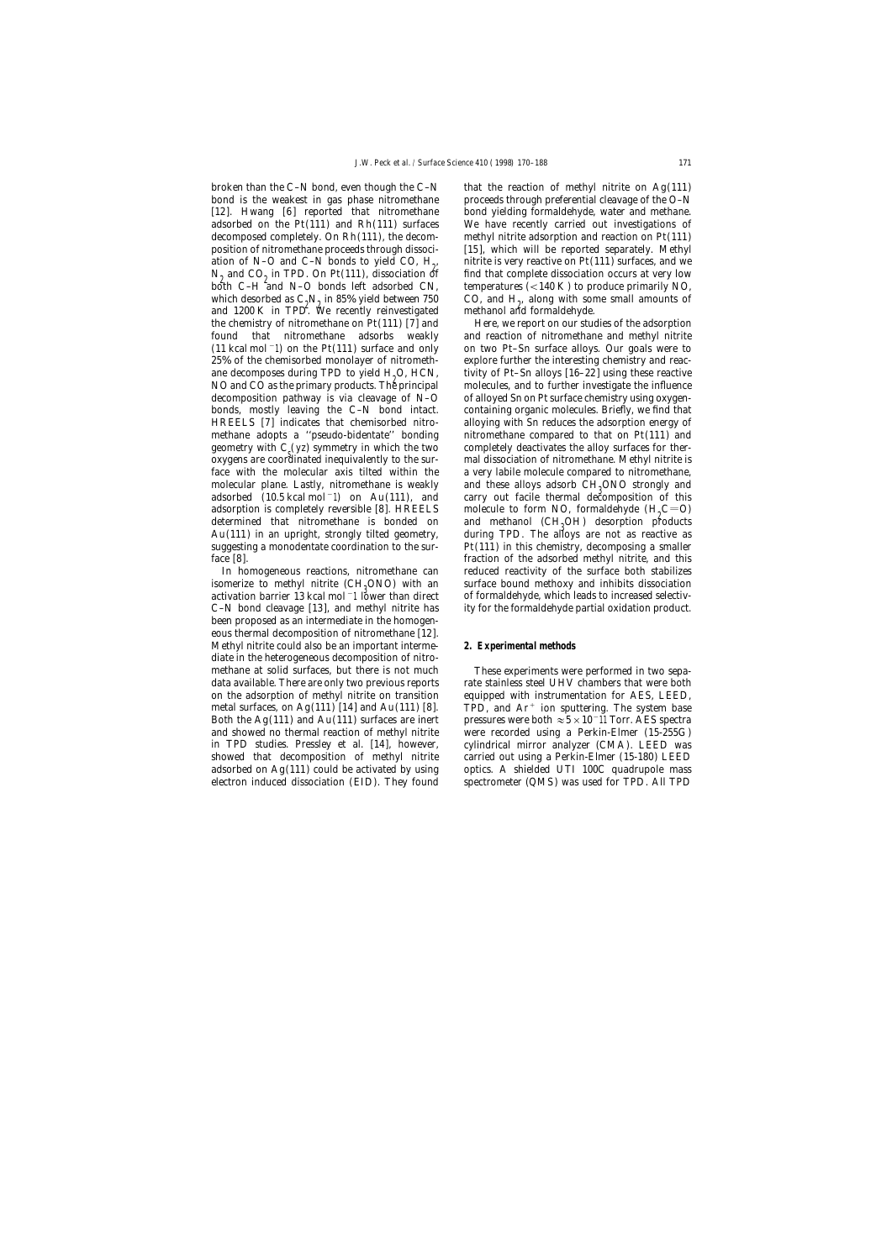broken than the C–N bond, even though the C–N that the reaction of methyl nitrite on  $Ag(111)$ bond is the weakest in gas phase nitromethane proceeds through preferential cleavage of the O–N [12]. Hwang [6] reported that nitromethane bond yielding formaldehyde, water and methane. adsorbed on the Pt(111) and Rh(111) surfaces We have recently carried out investigations of decomposed completely. On Rh(111), the decom- methyl nitrite adsorption and reaction on Pt(111) position of nitromethane proceeds through dissoci- [15], which will be reported separately. Methyl ation of N–O and C–N bonds to yield CO,  $H_0$ ,  $N_2$  and  $CO_2$  in TPD. On Pt(111), dissociation of find that complete dissociation occurs at very low both C-H and N-O bonds left adsorbed CN, temperatures (<140 K) to produce primarily NO, and 1200 K in TPD. We recently reinvestigated methanol and formaldehyde. the chemistry of nitromethane on Pt(111) [7] and Here, we report on our studies of the adsorption found that nitromethane adsorbs weakly and reaction of nitromethane and methyl nitrite 25% of the chemisorbed monolayer of nitrometh- explore further the interesting chemistry and reacane decomposes during TPD to yield  $H_2O$ , HCN, tivity of Pt–Sn alloys [16–22] using these reactive NO and CO as the primary products. The principal molecules, and to further investigate the influence ane decomposes during TPD to yield  $H<sub>0</sub>O$ , HCN, decomposition pathway is via cleavage of  $N-O$  of alloyed Sn on Pt surface chemistry using oxygenbonds, mostly leaving the C–N bond intact. containing organic molecules. Briefly, we find that methane adopts a ''pseudo-bidentate'' bonding nitromethane compared to that on Pt(111) and geometry with C<sub>s</sub>(yz) symmetry in which the two completely deactivates the alloy surfaces for ther-<br>cyvitans are soordinated inconjuglarly to the surgeon and dissociation of nitronathone. Mathyl pitrite is oxygens are coordinated inequivalently to the sur- mal dissociation of nitromethane. Methyl nitrite is face with the molecular axis tilted within the a very labile molecule compared to nitromethane, molecular plane. Lastly, nitromethane is weakly adsorbed  $(10.5 \text{ kcal mol}^{-1})$  on Au $(111)$ , and adsorption is completely reversible [8]. HREELS determined that nitromethane is bonded on Au(111) in an upright, strongly tilted geometry, suggesting a monodentate coordination to the sur-<br> $Pt(111)$  in this chemistry, decomposing a smaller face [8]. fraction of the adsorbed methyl nitrite, and this

isomerize to methyl nitrite  $(CH_3ONO)$  with an surface bound methoxy and inhibits dissociation activation barrier 13 kcal mol  $\bar{ }$  1 lower than direct of formaldehyde, which leads to increased selectivisomerize to methyl nitrite  $(CH<sub>0</sub>ONO)$  with an C–N bond cleavage [13], and methyl nitrite has ity for the formaldehyde partial oxidation product. been proposed as an intermediate in the homogeneous thermal decomposition of nitromethane [12]. Methyl nitrite could also be an important interme- **2. Experimental methods** diate in the heterogeneous decomposition of nitromethane at solid surfaces, but there is not much These experiments were performed in two sepadata available. There are only two previous reports rate stainless steel UHV chambers that were both on the adsorption of methyl nitrite on transition equipped with instrumentation for AES, LEED, metal surfaces, on Ag(111) [14] and Au(111) [8]. TPD, and  $Ar^{+}$  ion sputtering. The system base Both the Ag(111) and Au(111) surfaces are inert pressures were both  $\approx$  5 × 10<sup>-11</sup> Torr. AES spectra and showed no thermal reaction of methyl nitrite were recorded using a Perkin-Elmer (15-255G) in TPD studies. Pressley et al. [14], however, cylindrical mirror analyzer (CMA). LEED was showed that decomposition of methyl nitrite carried out using a Perkin-Elmer (15-180) LEED adsorbed on Ag(111) could be activated by using optics. A shielded UTI 100C quadrupole mass

nitrite is very reactive on  $Pt(111)$  surfaces, and we temperatures  $(<140 K$ ) to produce primarily NO, which desorbed as  $C_0N_2$  in 85% yield between 750 and  $H_2$ , along with some small amounts of  $C_1$  and  $C_2$  in TBL,  $W_2$  recordiversity printed and the method of formal debtude.

(11 kcal mol−1) on the Pt(111) surface and only on two Pt–Sn surface alloys. Our goals were to molecules, and to further investigate the influence HREELS [7] indicates that chemisorbed nitro- alloying with Sn reduces the adsorption energy of and these alloys adsorb CH<sub>2</sub>ONO strongly and carry out facile thermal decomposition of this molecule to form NO, formaldehyde  $(H_0C=O)$ and methanol  $(CH<sub>3</sub>OH)$  desorption products during TPD. The alloys are not as reactive as In homogeneous reactions, nitromethane can reduced reactivity of the surface both stabilizes of formaldehyde, which leads to increased selectiv-

electron induced dissociation (EID). They found spectrometer (QMS) was used for TPD. All TPD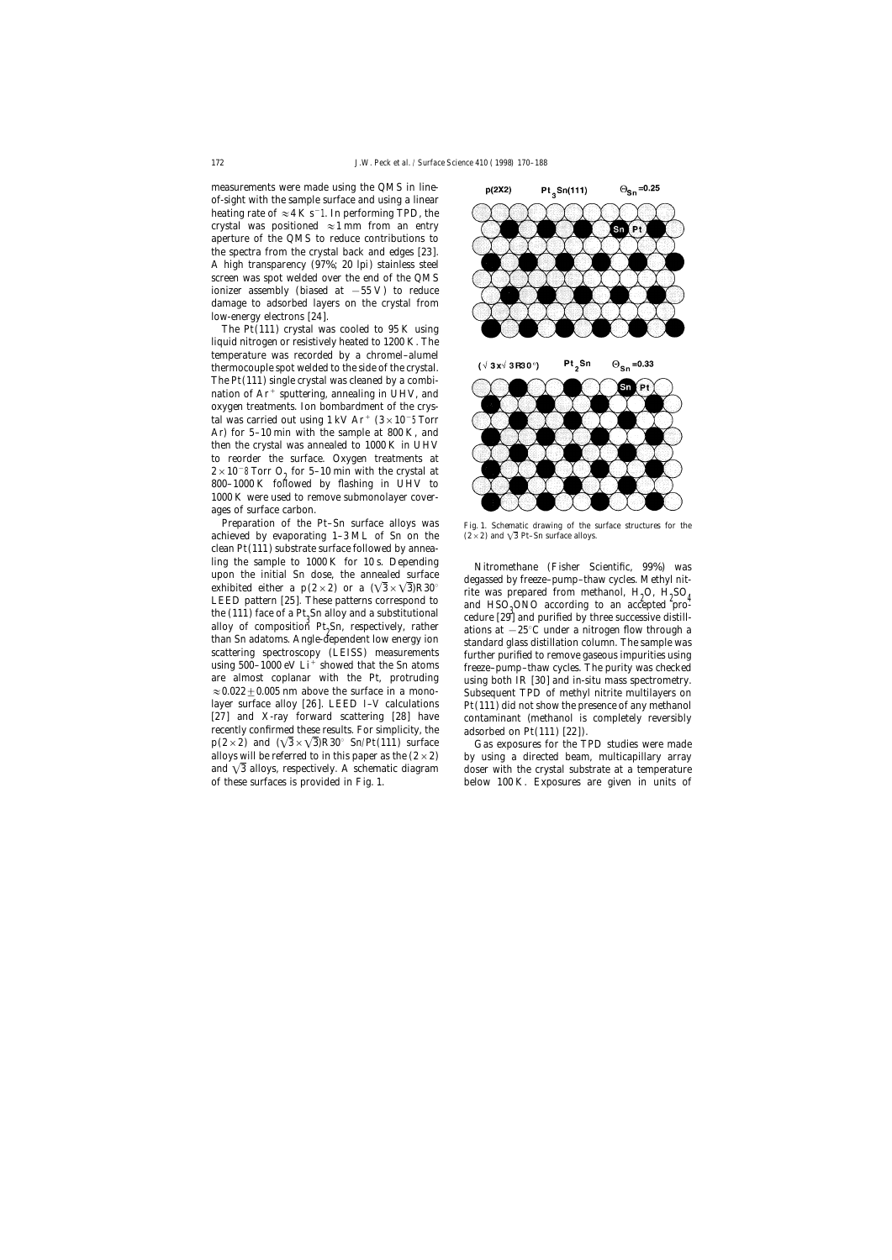measurements were made using the QMS in lineof-sight with the sample surface and using a linear heating rate of  $\approx$ 4 K s<sup>−1</sup>. In performing TPD, the crystal was positioned  $\approx$  1 mm from an entry aperture of the QMS to reduce contributions to the spectra from the crystal back and edges [23]. A high transparency (97%; 20 lpi) stainless steel screen was spot welded over the end of the QMS ionizer assembly (biased at  $-55$  V) to reduce damage to adsorbed layers on the crystal from low-energy electrons [24].

The Pt(111) crystal was cooled to  $95 K$  using liquid nitrogen or resistively heated to 1200 K. The temperature was recorded by a chromel–alumel thermocouple spot welded to the side of the crystal. The Pt(111) single crystal was cleaned by a combination of  $Ar^+$  sputtering, annealing in UHV, and oxygen treatments. Ion bombardment of the crystal was carried out using 1 kV Ar<sup>+</sup> (3 × 10<sup>-5</sup> Torr Ar) for 5–10 min with the sample at 800 K, and then the crystal was annealed to 1000 K in UHV to reorder the surface. Oxygen treatments at  $2 \times 10^{-8}$  Torr O<sub>9</sub> for 5–10 min with the crystal at 800–1000 K followed by flashing in UHV to 1000 K were used to remove submonolayer coverages of surface carbon.

Preparation of the Pt–Sn surface alloys was Fig. 1. Schematic drawing of the surface structures for the achieved by evaporating 1–3 ML of Sn on the  $(2\times2)$  and  $\sqrt{3}$  Pt–Sn surface alloys. clean Pt(111) substrate surface followed by annealing the sample to 1000 K for 10 s. Depending<br>upon the initial Sn dose, the annealed surface<br>exhibited either a  $p(2 \times 2)$  or a  $(\sqrt{3} \times \sqrt{3})R30^\circ$ <br>LEED pattern [25]. These patterns correspond to<br>different parameters corr recently confirmed these results. For simplicity, the adsorbed on Pt(111) [22]).  $p(2\times2)$  and  $(\sqrt{3}\times\sqrt{3})R30^\circ$  Sn/Pt(111) surface Gas exposures for the TPD studies were made



 $O, H<sub>2</sub>SO$ LEED pattern [25]. These patterns correspond to<br>the (111) face of a Pt<sub>3</sub>Sn alloy and a substitutional cedure [29] and purified by three successive distillthe (111) face of a Pt<sub>3</sub>Sn alloy and a substitutional cedure [29] and purified by three successive distillations of composition Pt<sub>3</sub>Sn, respectively, rather a and  $\frac{1}{2}$  and purified by three successive distillations alloy of composition  $Pt_2$ Sn, respectively, rather<br>than Sn adatoms. Angle-dependent low energy ion<br>than Sn adatoms. Angle-dependent low energy ion<br>tandard glass distillation column. The sample was alloy of composition  $Pt_2$ Sn, respectively, rather<br>than Sn adatoms. Angle-dependent low energy ion<br>scattering spectroscopy (LEISS) measurements<br>using 500–1000 eV Li<sup>+</sup> showed that the Sn atoms<br>are almost coplanar with t  $\approx 0.022 \pm 0.005$  nm above the surface in a mono-<br>layer surface alloy [26]. LEED *I-V* calculations Pt(111) did not show the presence of any methanol Pt(111) did not show the presence of any methanol [27] and X-ray forward scattering [28] have contaminant (methanol is completely reversibly

alloys will be referred to in this paper as the  $(2 \times 2)$  by using a directed beam, multicapillary array and  $\sqrt{3}$  alloys, respectively. A schematic diagram doser with the crystal substrate at a temperature of these surfaces is provided in Fig. 1. below 100 K. Exposures are given in units of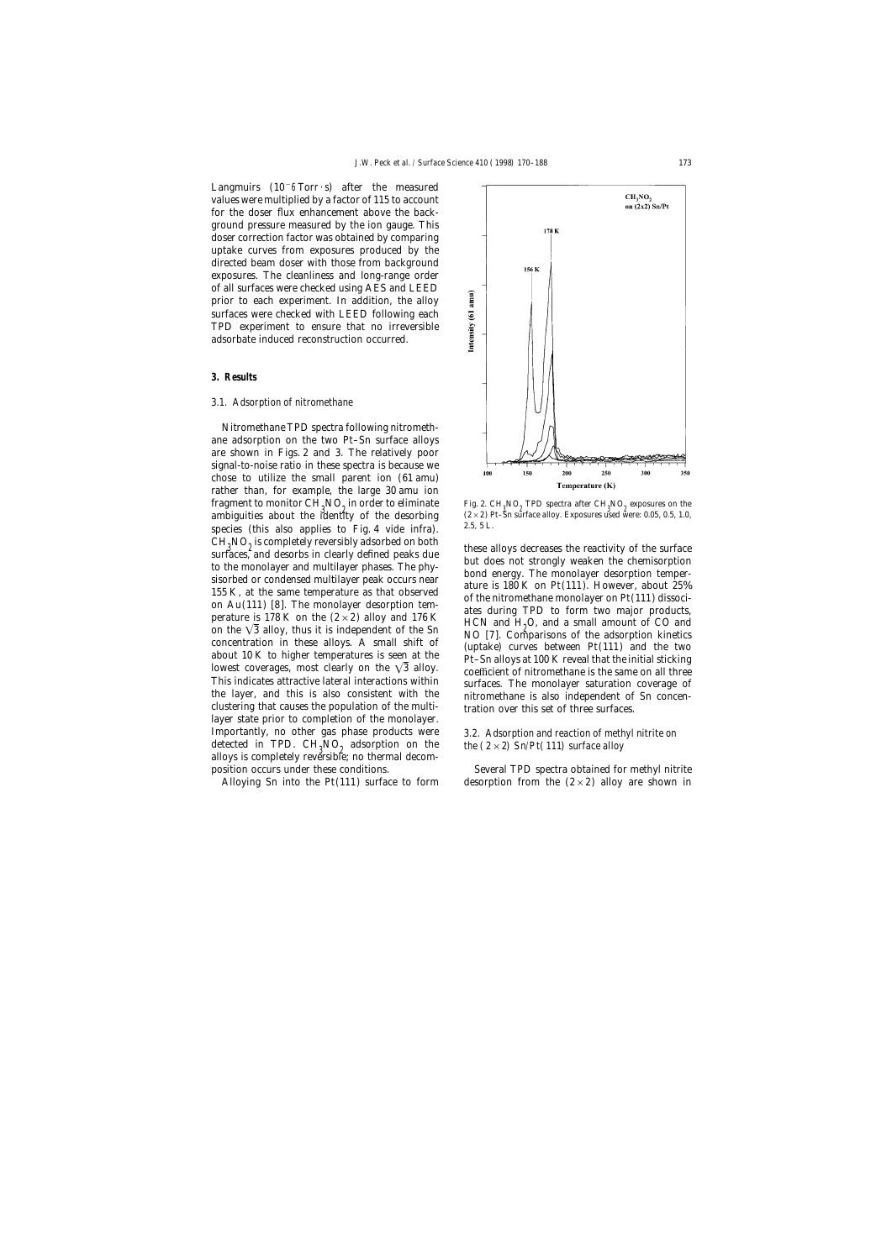Langmuirs  $(10^-6 \text{ Torr} \cdot s)$  after the measured values were multiplied by a factor of 115 to account for the doser flux enhancement above the background pressure measured by the ion gauge. This doser correction factor was obtained by comparing uptake curves from exposures produced by the directed beam doser with those from background exposures. The cleanliness and long-range order of all surfaces were checked using AES and LEED prior to each experiment. In addition, the alloy surfaces were checked with LEED following each TPD experiment to ensure that no irreversible adsorbate induced reconstruction occurred.

### **3. Results**

### *3.1. Adsorption of nitromethane*

Nitromethane TPD spectra following nitromethane adsorption on the two Pt–Sn surface alloys are shown in Figs. 2 and 3. The relatively poor signal-to-noise ratio in these spectra is because we chose to utilize the small parent ion (61 amu) rather than, for example, the large 30 amu ion fragment to monitor  $\text{CH}_{2} \text{NO}_{2}$  in order to eliminate Fig. 2.  $\text{CH}_{3}$ <br>ambiguities, about, the identity of the description  $(2\times2)\text{ Pt}_{2}$ ambiguities about the identity of the desorbing  $(2\times2)$  Pt–Sn surface alloy. Exposures used were: 0.05, 0.5, 1.0, species (this also applies to Fig. 4, vide infra)  $2.5, 5$  L. species (this also applies to Fig. 4 vide infra).  $CH<sub>3</sub>NO<sub>2</sub>$  is completely reversibly adsorbed on both surfaces, and desorbs in clearly defined peaks due CH<sub>3</sub>NO<sub>2</sub> is completely reversibly adsorbed on both<br>surfaces, and desorbs in clearly defined peaks due<br>to the monolayer and multilayer phases. The phy-<br>sisorbed or condensed multilayer peak occurs near<br>155 K, at the same because is 176 K on the  $(2 \times 2)$  and  $y$  and 176 K<br>on the  $\sqrt{3}$  alloy, thus it is independent of the Sn<br>concentration in these alloys. A small shift of<br>about 10 K to higher temperatures is seen at the<br>lowest coverages, This indicates attractive lateral interactions within<br>the surfaces. The monolayer saturation coverage of<br>the layer, and this is also consistent with the current intromethane is also independent of Sn concen-<br>clustering tha layer state prior to completion of the monolayer. Importantly, no other gas phase products were *3.2. Adsorption and reaction of methyl nitrite on* detected in TPD.  $CH<sub>9</sub>NO<sub>9</sub>$  adsorption on the alloys is completely reversible; no thermal decomposition occurs under these conditions. Several TPD spectra obtained for methyl nitrite



 $NO<sub>2</sub>$  TPD spectra after  $CH<sub>3</sub>NO<sub>2</sub>$  exposures on the

## the  $(2 \times 2)$  Sn/*Pt(111)* surface alloy

Alloying Sn into the Pt(111) surface to form desorption from the  $(2\times2)$  alloy are shown in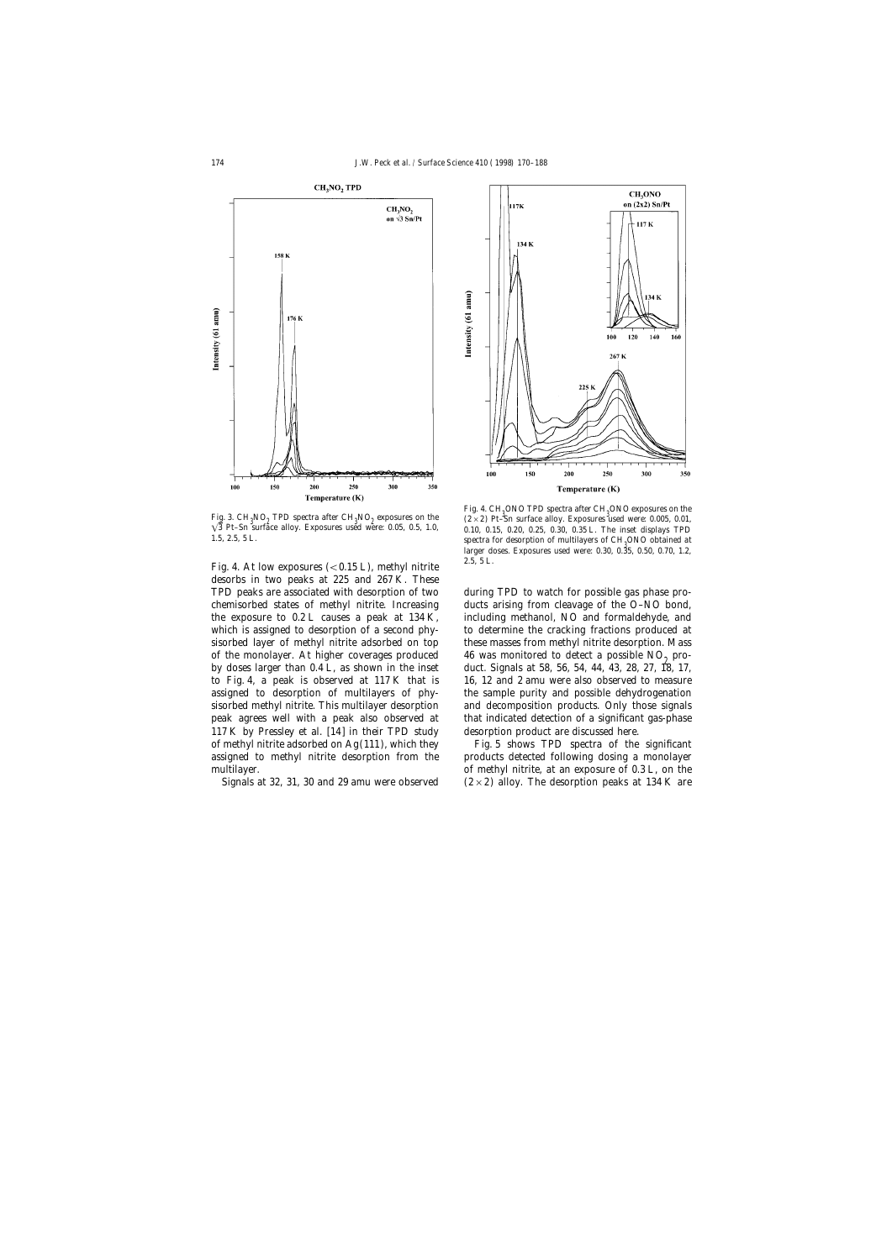

Fig. 3.  $CH_3NO_2$  TPD spectra after  $CH_3$ 

Fig. 4. At low exposures  $(<0.15$  L), methyl nitrite 2.5, 5 L. desorbs in two peaks at 225 and 267 K. These TPD peaks are associated with desorption of two during TPD to watch for possible gas phase pro-117 K by Pressley et al. [14] in their TPD study desorption product are discussed here. of methyl nitrite adsorbed on  $Ag(111)$ , which they Fig. 5 shows TPD spectra of the significant



Fig. 4. CH<sub>3</sub>ONO TPD spectra after CH<sub>3</sub>ONO exposures on the  $(2.12)$ Fig. 3. CH<sub>3</sub>NO<sub>2</sub> TPD spectra after CH<sub>3</sub>NO<sub>2</sub> exposures on the (2 × 2) Pt–Sn surface alloy. Exposures used were: 0.005, 0.01, 0.16, 0.20, 0.25, 0.30, 0.35 L. The inset displays TPD 1.5, 2.5, 5 L.<br>1.5, 2.5, 5 L. 1.5, 2.5, 5 L.<br>
spectra for desorption of multilayers of CH<sub>3</sub>ONO obtained at<br>
larger desse Fragence used wave 0.20, 0.35, 0.50, 0.70, 1.2 larger doses. Exposures used were: 0.30, 0.35, 0.50, 0.70, 1.2,

chemisorbed states of methyl nitrite. Increasing ducts arising from cleavage of the O–NO bond, the exposure to 0.2 L causes a peak at 134 K, including methanol, NO and formaldehyde, and which is assigned to desorption of a second phy-<br>to determine the cracking fractions produced at sisorbed layer of methyl nitrite adsorbed on top these masses from methyl nitrite desorption. Mass % of the monolayer. At higher coverages produced  $\frac{46}{46}$  was monitored to detect a possible NO<sub>2</sub> pro-<br>by doses larger than 0.4 L, as shown in the inset duct. Signals at 58, 56, 54, 44, 43, 28, 27, 18, 17, duct. Signals at 58, 56, 54, 44, 43, 28, 27, 18, 17, to Fig. 4, a peak is observed at 117 K that is 16, 12 and 2 amu were also observed to measure assigned to desorption of multilayers of phy- the sample purity and possible dehydrogenation sisorbed methyl nitrite. This multilayer desorption and decomposition products. Only those signals peak agrees well with a peak also observed at that indicated detection of a significant gas-phase

assigned to methyl nitrite desorption from the products detected following dosing a monolayer multilayer. **or** methyl nitrite, at an exposure of 0.3 L, on the Signals at 32, 31, 30 and 29 amu were observed  $(2\times2)$  alloy. The desorption peaks at 134 K are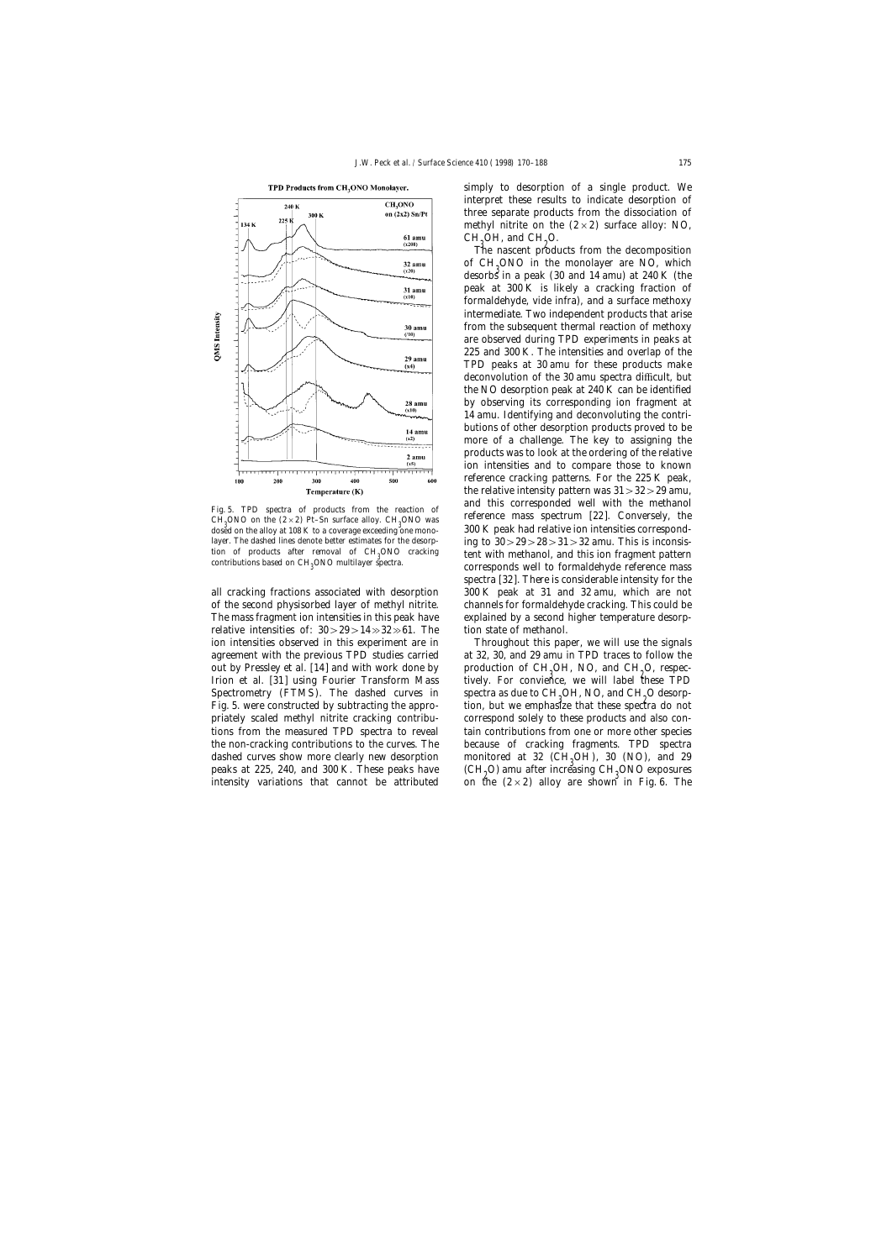

tion of products after removal of  $CH<sub>3</sub>ONO$  cracking contributions based on  $CH<sub>3</sub>ONO$  multilayer spectra.

relative intensities of:  $30 > 29 > 14 > 32 > 61$ . The tion state of methanol. ion intensities observed in this experiment are in Throughout this paper, we will use the signals agreement with the previous TPD studies carried at 32, 30, and 29 amu in TPD traces to follow the out by Pressley et al. [14] and with work done by Irion et al. [31] using Fourier Transform Mass Spectrometry (FTMS). The dashed curves in spectra as due to  $CH_3OH$ , NO, and  $CH_2O$  desorp-<br>Eig 5, were constructed by subtracting the opper strips by we emphasize that these spectro do not Fig. 5. were constructed by subtracting the appro- tion, but we emphasize that these spectra do not priately scaled methyl nitrite cracking contribu- correspond solely to these products and also contions from the measured TPD spectra to reveal tain contributions from one or more other species the non-cracking contributions to the curves. The because of cracking fragments. TPD spectra dashed curves show more clearly new desorption peaks at 225, 240, and 300 K. These peaks have intensity variations that cannot be attributed

simply to desorption of a single product. We interpret these results to indicate desorption of three separate products from the dissociation of methyl nitrite on the  $(2 \times 2)$  surface alloy: NO,  $CH<sub>3</sub>OH$ , and  $CH<sub>2</sub>O$ .

The nascent products from the decomposition of  $CH_3ONO$  in the monolayer are NO, which<br>describe in a nearly (20 and 14 apply) at 240 K (the desorbs in a peak (30 and 14 amu) at 240 K (the peak at 300 K is likely a cracking fraction of formaldehyde, vide infra), and a surface methoxy intermediate. Two independent products that arise from the subsequent thermal reaction of methoxy are observed during TPD experiments in peaks at 225 and 300 K. The intensities and overlap of the TPD peaks at 30 amu for these products make deconvolution of the 30 amu spectra difficult, but the NO desorption peak at 240 K can be identified by observing its corresponding ion fragment at 14 amu. Identifying and deconvoluting the contributions of other desorption products proved to be more of a challenge. The key to assigning the products was to look at the ordering of the relative ion intensities and to compare those to known reference cracking patterns. For the 225 K peak, the relative intensity pattern was  $31 > 32 > 29$  amu, Fig. 5. TPD spectra of products from the reaction of and this corresponded well with the methanol  $CH_3ONO$  on the (2×2) Pt–Sn surface alloy. CH<sub>3</sub>ONO was  $300 \text{ K}$  peak had relative ion intensities correspondent and the c  $d$ osed on the alloy at 108 K to a coverage exceeding one mono-<br>300 K peak had relative ion intensities correspondlayer. The dashed lines denote better estimates for the desorp- ing to  $30>29>28>31>32$  amu. This is inconsistent with methanol, and this ion fragment pattern corresponds well to formaldehyde reference mass spectra [32]. There is considerable intensity for the all cracking fractions associated with desorption 300 K peak at 31 and 32 amu, which are not of the second physisorbed layer of methyl nitrite. channels for formaldehyde cracking. This could be The mass fragment ion intensities in this peak have explained by a second higher temperature desorp-

> production of CH<sub>3</sub>OH, NO, and CH<sub>2</sub>O, respectively. For convience, we will label these TPD monitored at 32 (CH<sub>2</sub>OH), 30 (NO), and 29  $(CH<sub>a</sub>O)$  amu after increasing  $CH<sub>a</sub>ONO$  exposures on the  $(2\times 2)$  alloy are shown in Fig. 6. The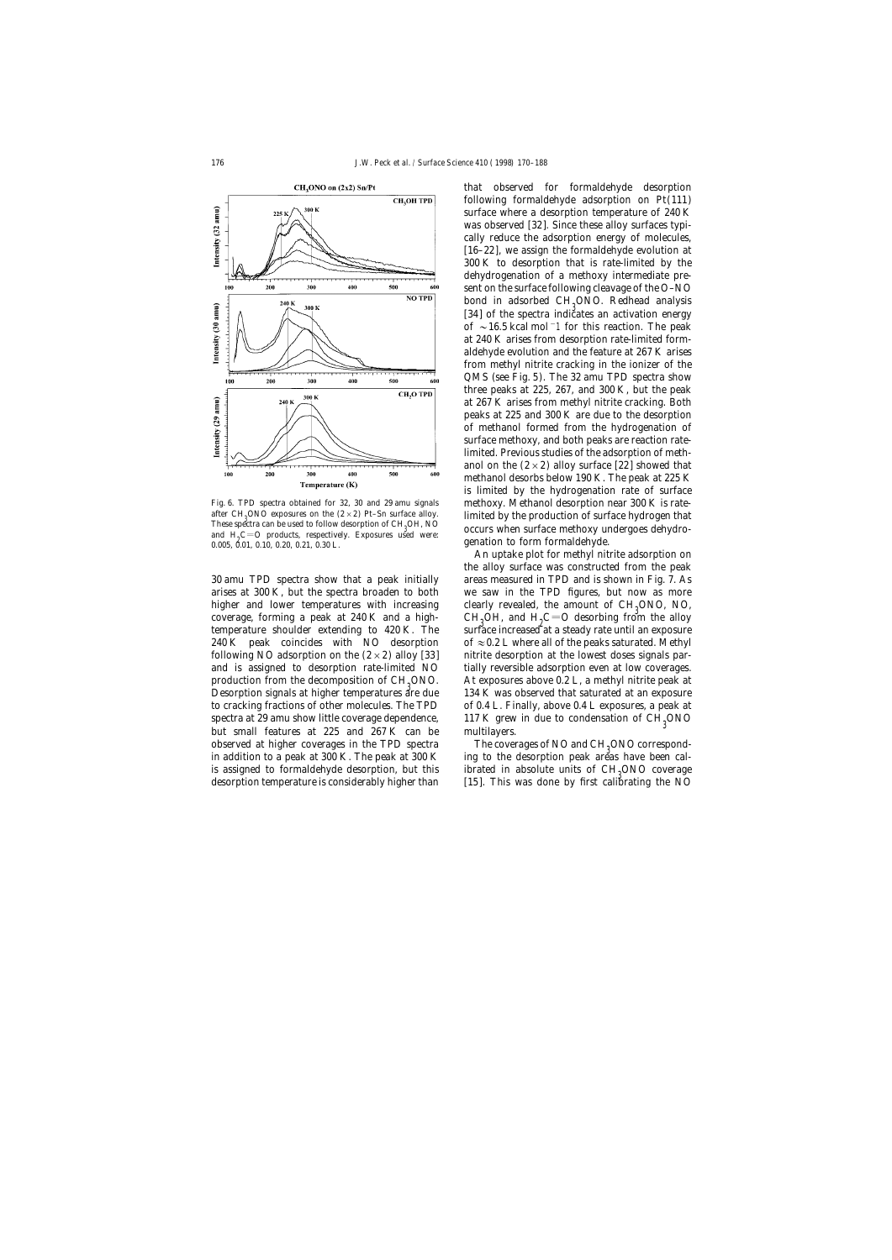

after CH<sub>3</sub>ONO exposures on the  $(2 \times 2)$  Pt–Sn surface alloy.<br>These spectra can be used to follow desorption of CH<sub>3</sub>OH, NO These spectra can be used to follow desorption of CH<sub>3</sub>OH, NO<br>and  $H_2C$ =O products, respectively. Exposures used were:<br>0.005, 0.01, 0.10, 0.20, 0.21, 0.30 L.<br>**Exposures** used were:<br>**genation to form formaldehyde.** and  $H<sub>0</sub>C=O$  products, respectively. Exposures used were:

arises at 300 K, but the spectra broaden to both we saw in the TPD figures, but now as more higher and lower temperatures with increasing clearly revealed, the amount of CH<sub>3</sub>ONO, NO, coverage, forming a peak at  $240 \text{ K}$  and a high-<br>temperature shoulder extending to  $420 \text{ K}$ . The 240 K peak coincides with NO desorption of  $\approx 0.2$  L where all of the peaks saturated. Methyl following NO adsorption on the  $(2 \times 2)$  alloy [33] nitrite desorption at the lowest doses signals parand is assigned to desorption rate-limited NO tially reversible adsorption even at low coverages. Desorption signals at higher temperatures are due 134 K was observed that saturated at an exposure to cracking fractions of other molecules. The TPD of 0.4 L. Finally, above 0.4 L exposures, a peak at spectra at 29 amu show little coverage dependence, 117 K grew<br>but small features at 225 and 267 K can be multilayers. but small features at  $225$  and  $267$  K can be observed at higher coverages in the TPD spectra in addition to a peak at 300 K. The peak at 300 K is assigned to formaldehyde desorption, but this desorption temperature is considerably higher than

that observed for formaldehyde desorption following formaldehyde adsorption on Pt(111) surface where a desorption temperature of 240 K was observed [32]. Since these alloy surfaces typically reduce the adsorption energy of molecules, [16–22], we assign the formaldehyde evolution at 300 K to desorption that is rate-limited by the dehydrogenation of a methoxy intermediate present on the surface following cleavage of the O–NO bond in adsorbed CH<sub>3</sub>ONO. Redhead analysis<br>[24] of the greater indicates are astivation anargy [34] of the spectra indicates an activation energy of ~16.5 kcal mol−1 for this reaction. The peak at 240 K arises from desorption rate-limited formaldehyde evolution and the feature at 267 K arises from methyl nitrite cracking in the ionizer of the QMS (see Fig. 5). The 32 amu TPD spectra show three peaks at 225, 267, and 300 K, but the peak at 267 K arises from methyl nitrite cracking. Both peaks at 225 and 300 K are due to the desorption of methanol formed from the hydrogenation of surface methoxy, and both peaks are reaction ratelimited. Previous studies of the adsorption of methanol on the  $(2 \times 2)$  alloy surface [22] showed that methanol desorbs below 190 K. The peak at 225 K is limited by the hydrogenation rate of surface Fig. 6. TPD spectra obtained for 32, 30 and 29 amu signals methoxy. Methanol desorption near 300 K is ratelimited by the production of surface hydrogen that

An uptake plot for methyl nitrite adsorption on the alloy surface was constructed from the peak 30 amu TPD spectra show that a peak initially areas measured in TPD and is shown in Fig. 7. As OH, and  $H_2C=O$  desorbing from the alloy surface increased at a steady rate until an exposure production from the decomposition of  $CH<sub>3</sub>ONO$ . At exposures above 0.2 L, a methyl nitrite peak at  $324 \text{ K}$  was above 0.2 L, a methyl nitrite peak at  $324 \text{ K}$  was above 0.2 L, a methyl nitrite peak at  $324 \text{ K}$ 117 K grew in due to condensation of  $CH<sub>2</sub>ONO$ 

> The coverages of NO and  $CH<sub>9</sub>$ ONO corresponding to the desorption peak areas have been calibrated in absolute units of  $CH<sub>0</sub>ONO$  coverage [15]. This was done by first calibrating the NO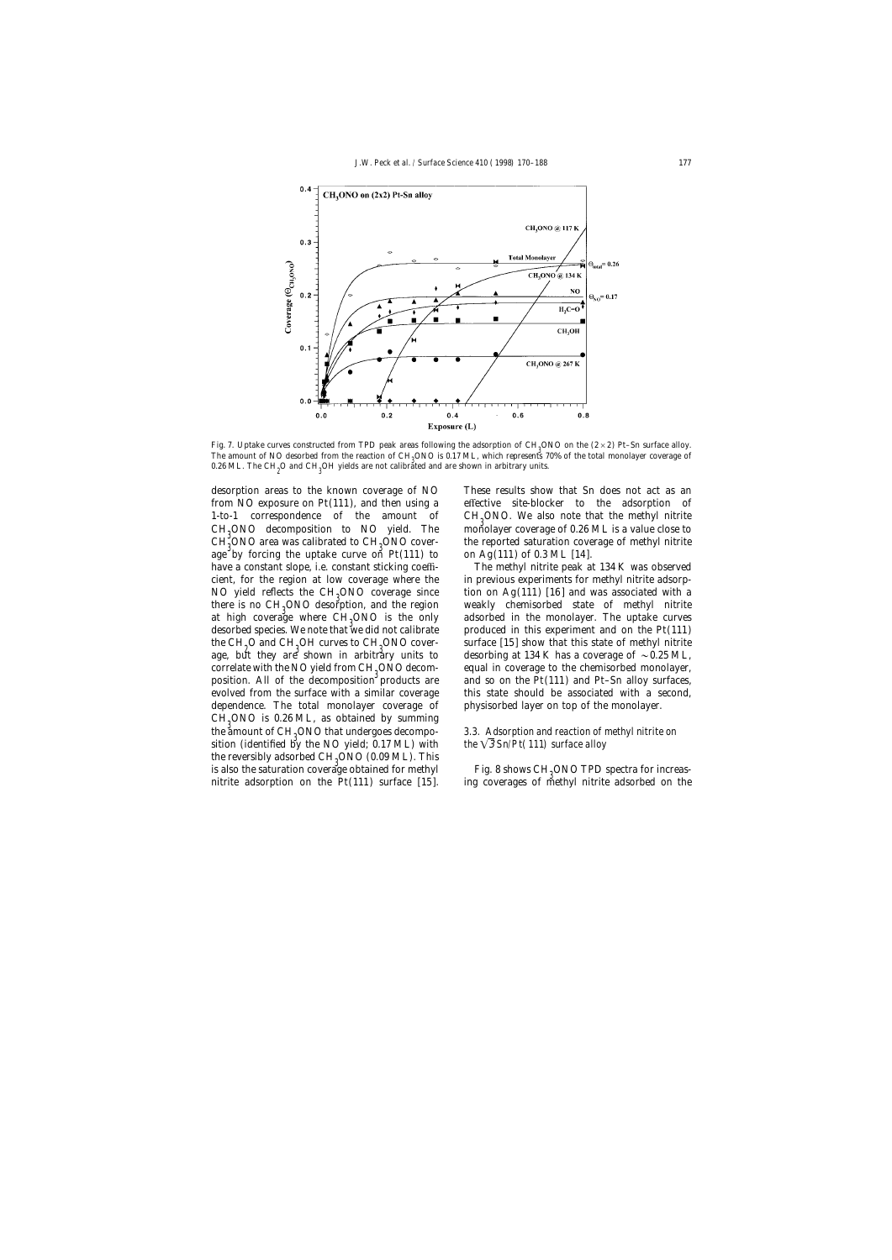

Fig. 7. Uptake curves constructed from TPD peak areas following the adsorption of CH<sub>3</sub>ONO on the (2×2) Pt–Sn surface alloy.<br>The consent of NO described from the meeting of CU-ONO is 0.17 ML, which approach, 20% of the tat The amount of NO desorbed from the reaction of CH<sub>3</sub>ONO is 0.17 ML, which represents 70% of the total monolayer coverage of<br>0.26 ML, The CH2O and CH2OH viable are not salibrated and are sharm in orbitrary units 0.26 ML. The CH<sub>2</sub>O and CH<sub>3</sub>OH yields are not calibrăted and are shown in arbitrary units.

desorption areas to the known coverage of NO These results show that Sn does not act as an from NO exposure on Pt(111), and then using a effective site-blocker to the adsorption of 1-to-1 correspondence of the amount of  $CH<sub>o</sub> ONO$  decomposition to NO yield. The  $CH_3^9$ ONO area was calibrated to  $CH_3$ age by forcing the uptake curve on Pt(111) to on Ag(111) of 0.3 ML [14]. have a constant slope, i.e. constant sticking coeffi-<br>The methyl nitrite peak at 134 K was observed cient, for the region at low coverage where the in previous experiments for methyl nitrite adsorp-NO yield reflects the CH<sub>2</sub>ONO coverage since there is no CH<sub>2</sub>ONO desorption, and the region weakly chemisorbed state of methyl nitrite<br>at high equanors where CH2ONO is the only a cdorbed in the monolayer. The untake summa at high coverage where  $CH<sub>9</sub>ONO$  is the only desorbed species. We note that we did not calibrate produced in this experiment and on the Pt(111) the CH<sub>2</sub>O and CH<sub>3</sub>OH curves to CH<sub>3</sub> age, but they are shown in arbitrary units to desorbing at 134 K has a coverage of  $\sim 0.25$  ML, correlate with the NO yield from CH<sub>2</sub>ONO decomposition. All of the decomposition products are and so on the  $Pt(111)$  and  $Pt-Sn$  alloy surfaces, evolved from the surface with a similar coverage this state should be associated with a second, dependence. The total monolayer coverage of physisorbed layer on top of the monolayer.  $CH<sub>3</sub>ONO$  is 0.26 ML, as obtained by summing<br>the amount of CH ONO that undergoes decompo the amount of  $CH<sub>9</sub>ONO$  that undergoes decomposition (identified by the NO yield;  $0.17 \text{ ML}$ ) with *the*  $\sqrt{3}$  *Sn*/*Pt(111) surface alloy* the reversibly adsorbed CH<sub>3</sub>ONO (0.09 ML). This<br>is also the seturation equators abtained for mathul is also the saturation coverage obtained for methyl nitrite adsorption on the  $Pt(111)$  surface [15].

CH<sub>2</sub>ONO. We also note that the methyl nitrite monolayer coverage of 0.26 ML is a value close to the reported saturation coverage of methyl nitrite

tion on Ag $(111)$  [16] and was associated with a adsorbed in the monolayer. The uptake curves surface [15] show that this state of methyl nitrite equal in coverage to the chemisorbed monolayer,

# 3.3. Adsorption and reaction of methyl nitrite on

Fig. 8 shows  $CH<sub>o</sub>ONO$  TPD spectra for increasing coverages of methyl nitrite adsorbed on the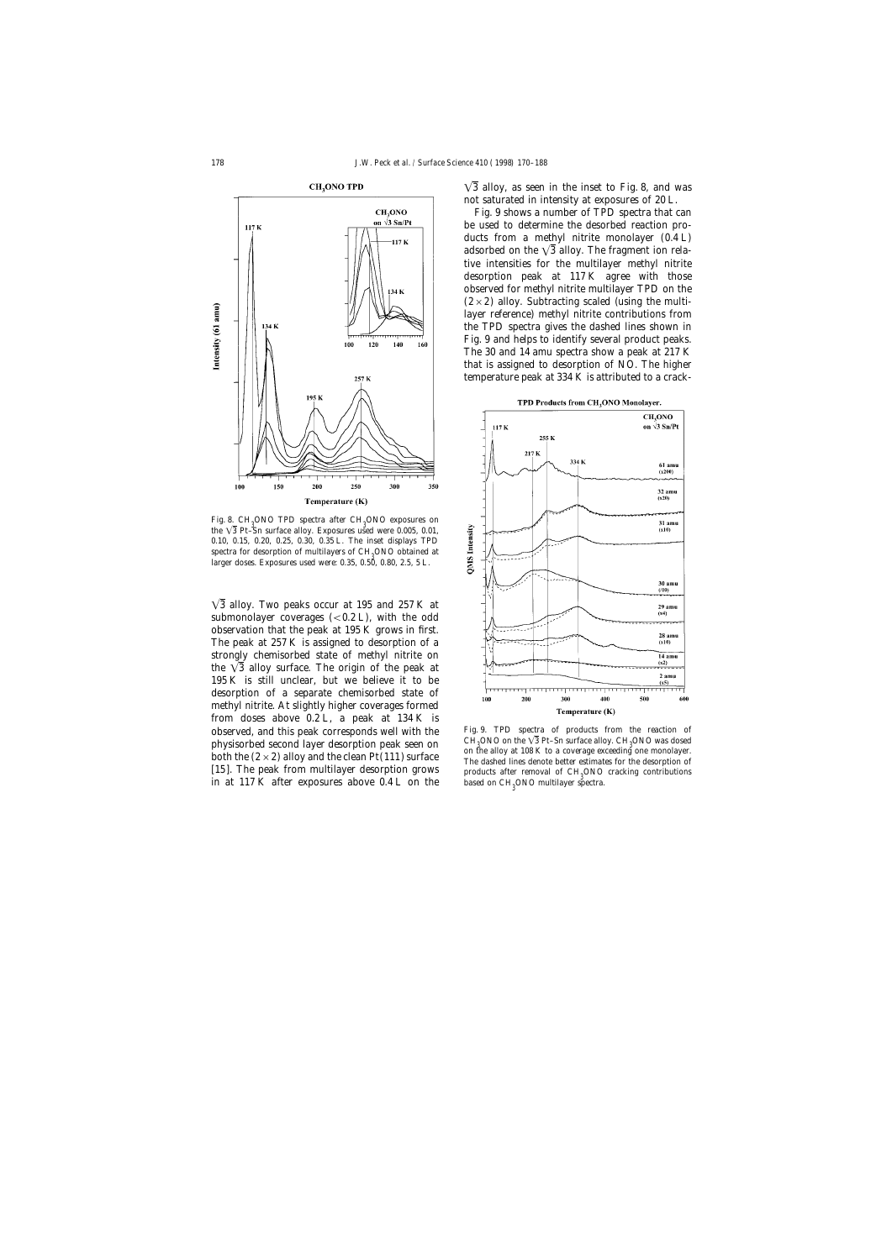

Fig. 8. CH<sub>3</sub>ONO TPD spectra after CH<sub>3</sub>ONO exposures on<br>the 2.2 Bt. The purformalism Expressions 2.4 maps 0.005, 0.01 the  $\sqrt{3}$  Pt–Sn surface alloy. Exposures used were 0.005, 0.01, 0.10, 0.15, 0.20, 0.25, 0.30, 0.35 L. The inset displays TPD spectra for desorption of multilayers of CH<sub>3</sub>ONO obtained at larger doses. Exposures used were: 0.35, 0.50, 0.80, 2.5, 5 L.

 $\sqrt{3}$  alloy. Two peaks occur at 195 and 257 K at submonolayer coverages  $(<0.2 \text{ L})$ , with the odd observation that the peak at 195 K grows in first. The peak at 257 K is assigned to desorption of a strongly chemisorbed state of methyl nitrite on the  $\sqrt{3}$  alloy surface. The origin of the peak at 195 K is still unclear, but we believe it to be desorption of a separate chemisorbed state of methyl nitrite. At slightly higher coverages formed from doses above 0.2 L, a peak at 134 K is observed, and this peak corresponds well with the Fig. 9. TPD spectra of products from the reaction of physisorbed second layer desorption peak seen on<br>both the  $(2 \times 2)$  alloy and the clean Pt(111) surface<br>[15]. The peak from multilayer desorption grows<br>in at 117 K after exposures above 0.4 L on the<br>based on CH<sub>2</sub>ONO mult in at  $117$  K after exposures above  $0.4$  L on the

 $\sqrt{3}$  alloy, as seen in the inset to Fig. 8, and was not saturated in intensity at exposures of 20 L.

Fig. 9 shows a number of TPD spectra that can be used to determine the desorbed reaction products from a methyl nitrite monolayer (0.4 L) adsorbed on the  $\sqrt{3}$  alloy. The fragment ion relative intensities for the multilayer methyl nitrite desorption peak at 117 K agree with those observed for methyl nitrite multilayer TPD on the  $(2\times2)$  alloy. Subtracting scaled (using the multilayer reference) methyl nitrite contributions from the TPD spectra gives the dashed lines shown in Fig. 9 and helps to identify several product peaks. The 30 and 14 amu spectra show a peak at 217 K that is assigned to desorption of NO. The higher temperature peak at 334 K is attributed to a crack-

![](_page_8_Figure_7.jpeg)

CH<sub>3</sub>ONO on the  $\sqrt{3}$  Pt–Sn surface alloy. CH<sub>3</sub> products after removal of CH<sub>0</sub>ONO cracking contributions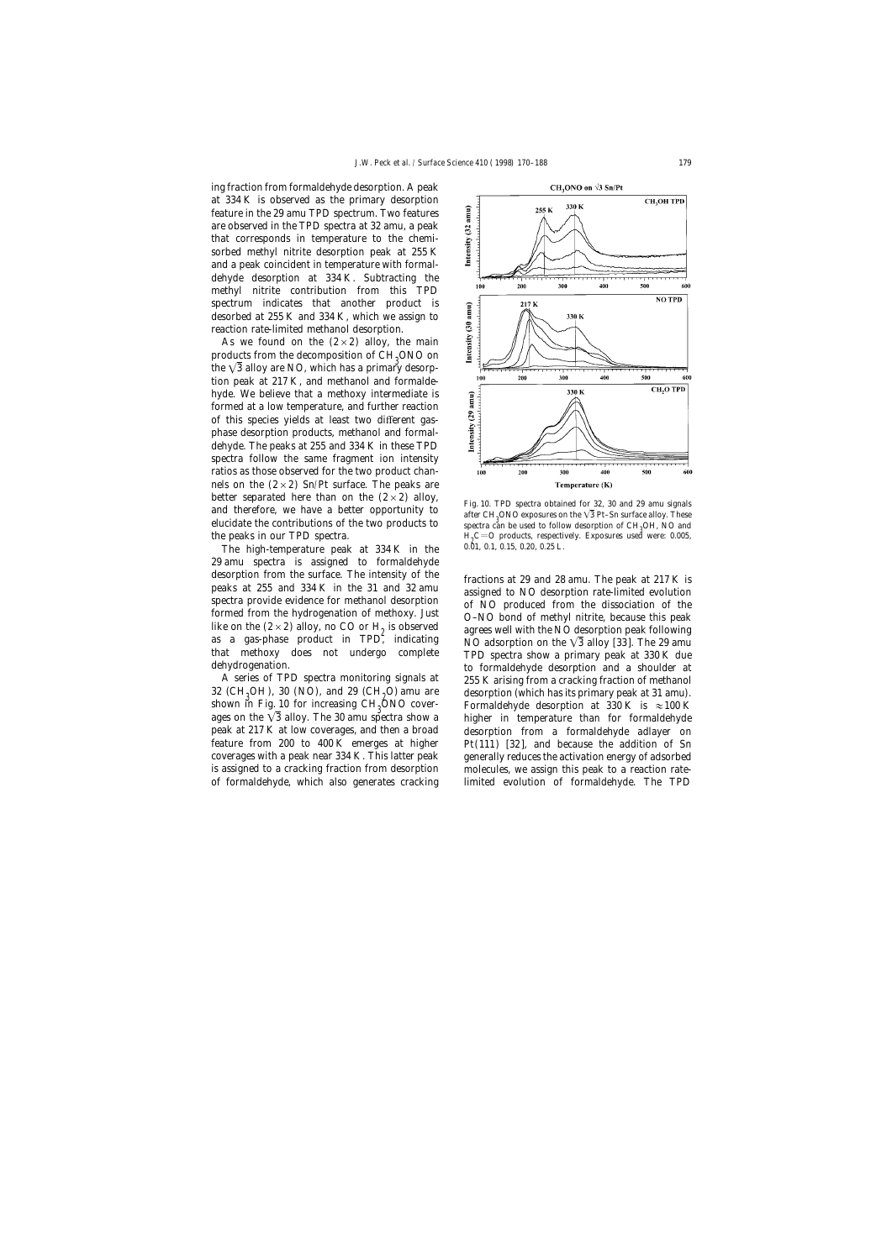ing fraction from formaldehyde desorption. A peak at 334 K is observed as the primary desorption feature in the 29 amu TPD spectrum. Two features are observed in the TPD spectra at 32 amu, a peak that corresponds in temperature to the chemisorbed methyl nitrite desorption peak at 255 K and a peak coincident in temperature with formaldehyde desorption at 334 K. Subtracting the methyl nitrite contribution from this TPD spectrum indicates that another product is desorbed at 255 K and 334 K, which we assign to reaction rate-limited methanol desorption.

As we found on the  $(2 \times 2)$  alloy, the main products from the decomposition of  $CH<sub>3</sub>ONO$  on<br>the  $\sqrt{2}$  ellevent NO, which has a primary decay the  $\sqrt{3}$  alloy are NO, which has a primary desorption peak at 217 K, and methanol and formaldehyde. We believe that a methoxy intermediate is formed at a low temperature, and further reaction of this species yields at least two different gasphase desorption products, methanol and formaldehyde. The peaks at 255 and 334 K in these TPD spectra follow the same fragment ion intensity ratios as those observed for the two product channels on the  $(2 \times 2)$  Sn/Pt surface. The peaks are better separated here than on the  $(2\times2)$  alloy,<br>and therefore, we have a better opportunity to a felt CH<sub>3</sub>ONO exposures on the  $\sqrt{3}$  Pt–Sn surface alloy. These<br>elucidate the contributions of the two products to a mee elucidate the contributions of the two products to the peaks in our TPD spectra.

The high-temperature peak at  $334 K$  in the 29 amu spectra is assigned to formaldehyde

32 (CH<sub>2</sub>OH), 30 (NO), and 29 (CH<sub>2</sub>O) amu are shown in Fig. 10 for increasing  $CH<sub>3</sub>ONO$  cover-

![](_page_9_Figure_5.jpeg)

spectra can be used to follow desorption of CH<sub>2</sub>OH, NO and  $H_2C = O$  products, respectively. Exposures used were: 0.005, 0.01, 0.1, 0.15, 0.20, 0.25 L.

desorption from the surface. The intensity of the<br>
peaks at 255 and 334 K in the 31 and 32 amu fractions at 29 and 28 amu. The peak at 217 K is<br>
spectra provide evidence for methanol desorption<br>
formed from the hydrogenat desorption (which has its primary peak at 31 amu). Formaldehyde desorption at 330 K is  $\approx 100 \text{ K}$ ages on the  $\sqrt{3}$  alloy. The 30 amu spectra show a higher in temperature than for formaldehyde peak at 217 K at low coverages, and then a broad desorption from a formaldehyde adlayer on feature from 200 to 400 K emerges at higher Pt(111) [32], and because the addition of Sn coverages with a peak near 334 K. This latter peak generally reduces the activation energy of adsorbed is assigned to a cracking fraction from desorption molecules, we assign this peak to a reaction rateof formaldehyde, which also generates cracking limited evolution of formaldehyde. The TPD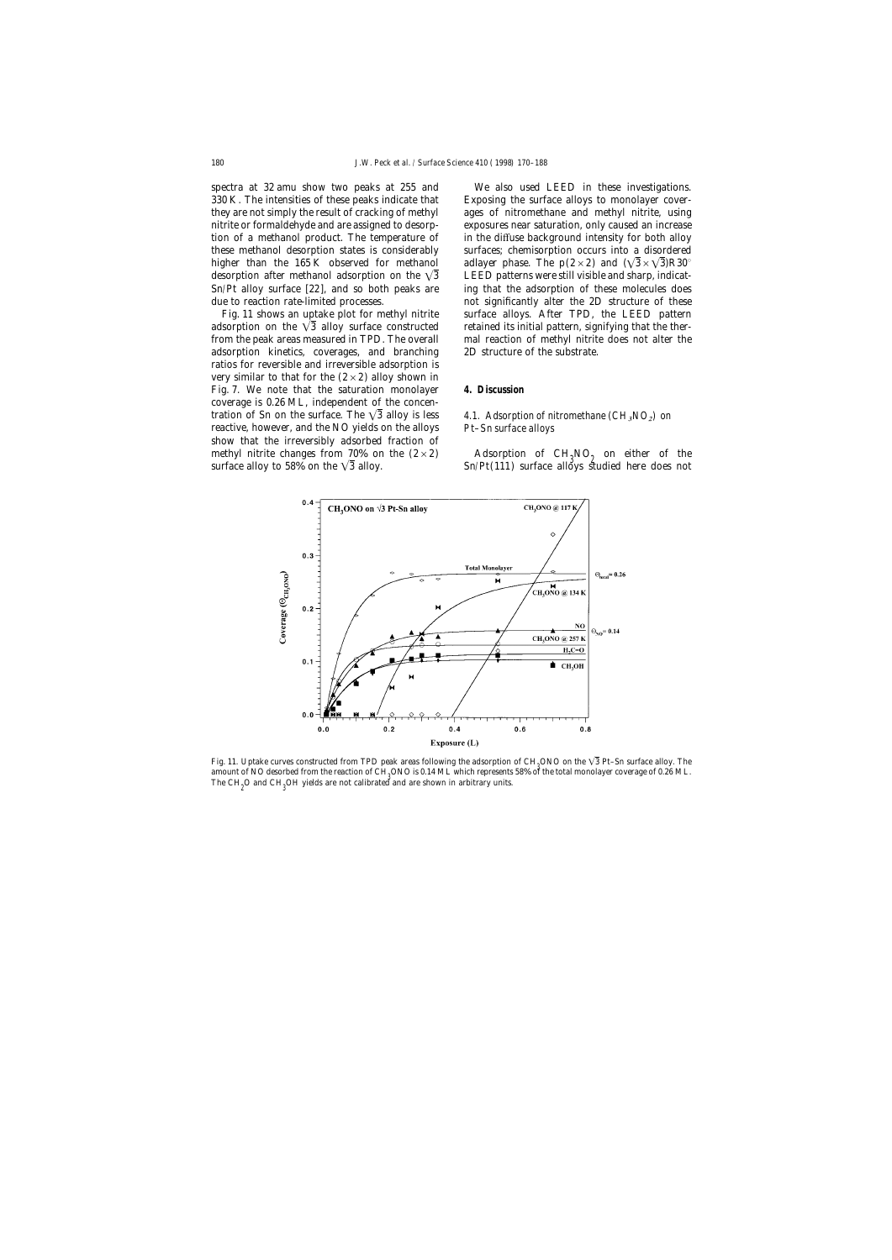spectra at 32 amu show two peaks at 255 and We also used LEED in these investigations.

adsorption kinetics, coverages, and branching 2D structure of the substrate. ratios for reversible and irreversible adsorption is very similar to that for the  $(2 \times 2)$  alloy shown in Fig. 7. We note that the saturation monolayer **4. Discussion** coverage is 0.26 ML, independent of the concentration of Sn on the surface. The  $\sqrt{3}$  alloy is less *4.1. Adsorption of nitromative*, however, and the NO yields on the alloys *Pt–Sn surface alloys* reactive, however, and the NO yields on the alloys show that the irreversibly adsorbed fraction of methyl nitrite changes from 70% on the  $(2 \times 2)$ <br>surface alloy to 58% on the  $\sqrt{3}$  alloy.

330 K. The intensities of these peaks indicate that Exposing the surface alloys to monolayer coverthey are not simply the result of cracking of methyl ages of nitromethane and methyl nitrite, using nitrite or formaldehyde and are assigned to desorp- exposures near saturation, only caused an increase tion of a methanol product. The temperature of in the diffuse background intensity for both alloy these methanol desorption states is considerably surfaces; chemisorption occurs into a disordered higher than the 165 K observed for methanol adlayer phase. The p(2 × 2) and  $(\sqrt{3} \times \sqrt{3})R30^\circ$ desorption after methanol adsorption on the  $\sqrt{3}$  LEED patterns were still visible and sharp, indicat-Sn/Pt alloy surface [22], and so both peaks are ing that the adsorption of these molecules does due to reaction rate-limited processes. The not significantly alter the 2D structure of these Fig. 11 shows an uptake plot for methyl nitrite surface alloys. After TPD, the LEED pattern adsorption on the  $\sqrt{3}$  alloy surface constructed retained its initial pattern, signifying that the therfrom the peak areas measured in TPD. The overall mal reaction of methyl nitrite does not alter the

## *NO<sup>2</sup> ) on*

Adsorption of  $CH<sub>3</sub>NO<sub>9</sub>$  on either of the  $Sn/Pt(111)$  surface alloys studied here does not

![](_page_10_Figure_8.jpeg)

Fig. 11. Uptake curves constructed from TPD peak areas following the adsorption of CH<sub>3</sub>ONO on the  $\sqrt{3}$  Pt–Sn surface alloy. The constructed from the presente of CH<sub>3</sub>ONO is 0.14 MJ, which generate  $50\%$  of the tatel amount of NO desorbed from the reaction of CH<sub>3</sub>ONO is 0.14 ML which represents 58% of the total monolayer coverage of 0.26 ML.<br>The CH2O and CH2OH stills are not adilarity and an algorithment in additions with The CH<sub>2</sub>O and CH<sub>3</sub>OH yields are not calibrated and are shown in arbitrary units.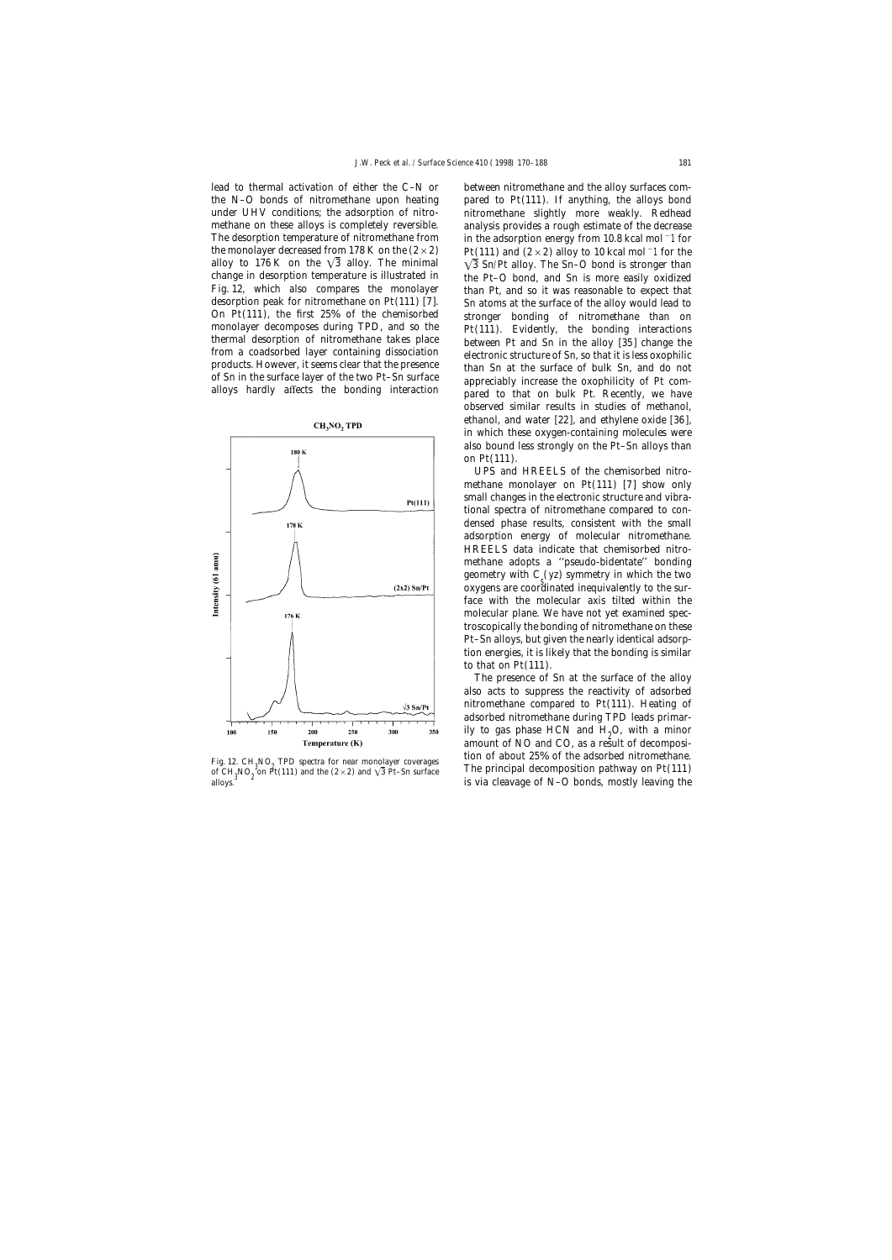![](_page_11_Figure_2.jpeg)

of  $CH_2NO_2$  on  $\tilde{P}t(111)$  and the  $(2 \times 2)$  and  $\sqrt{3}$  Pt–Sn surface

lead to thermal activation of either the C–N or between nitromethane and the alloy surfaces comthe N–O bonds of nitromethane upon heating pared to  $Pt(111)$ . If anything, the alloys bond under UHV conditions; the adsorption of nitro- nitromethane slightly more weakly. Redhead methane on these alloys is completely reversible. analysis provides a rough estimate of the decrease The desorption temperature of nitromethane from in the adsorption energy from 10.8 kcal mol<sup>-1</sup> for the monolayer decreased from 178 K on the  $(2 \times 2)$  Pt(111) and  $(2 \times 2)$  alloy to 10 kcal mol<sup>-1</sup> for the alloy to 176 K on the  $\sqrt{3}$  alloy. The minimal  $\sqrt{3}$  Sn/Pt alloy. The Sn–O bond is stronger than alloy to 176 K on the  $\sqrt{3}$  alloy. The minimal  $\sqrt{3}$  Sn/Pt alloy. The Sn–O bond is stronger than change in desorption temperature is illustrated in the Pt–O bond, and Sn is more easily oxidized change in desorption temperature is illustrated in the Pt–O bond, and Sn is more easily oxidized Fig. 12, which also compares the monolayer than Pt, and so it was reasonable to expect that desorption peak for nitromethane on Pt(111) [7]. So atoms at the surface of the alloy would lead to desorption peak for nitromethane on Pt(111) [7]. Sn atoms at the surface of the alloy would lead to<br>On Pt(111), the first 25% of the chemisorbed<br>monolayer decomposes during TPD, and so the Pt(111). Evidently, the bonding i observed similar results in studies of methanol, ethanol, and water [22], and ethylene oxide [36], in which these oxygen-containing molecules were also bound less strongly on the Pt–Sn alloys than on Pt(111).

> UPS and HREELS of the chemisorbed nitromethane monolayer on Pt(111) [7] show only small changes in the electronic structure and vibrational spectra of nitromethane compared to condensed phase results, consistent with the small adsorption energy of molecular nitromethane. HREELS data indicate that chemisorbed nitromethane adopts a ''pseudo-bidentate'' bonding geometry with  $C_y(z)$  symmetry in which the two<br>conveniences are exactlized inequiredntly to the sun oxygens are coordinated inequivalently to the surface with the molecular axis tilted within the molecular plane. We have not yet examined spectroscopically the bonding of nitromethane on these Pt–Sn alloys, but given the nearly identical adsorption energies, it is likely that the bonding is similar to that on Pt(111).

The presence of Sn at the surface of the alloy also acts to suppress the reactivity of adsorbed nitromethane compared to Pt(111). Heating of adsorbed nitromethane during TPD leads primarily to gas phase HCN and  $H_2O$ , with a minor amount of NO and CO, as a result of decomposi-Fig. 12. CH<sub>2</sub>NO<sub>9</sub> TPD spectra for near monolayer coverages tion of about 25% of the adsorbed nitromethane. Notice  $H_3NO_2$  on Pt(111) and the (2 × 2) and  $\sqrt{3}$  Pt–Sn surface The principal decomposition pathway on Pt(111) allows. is via cleavage of  $N-O$  bonds, mostly leaving the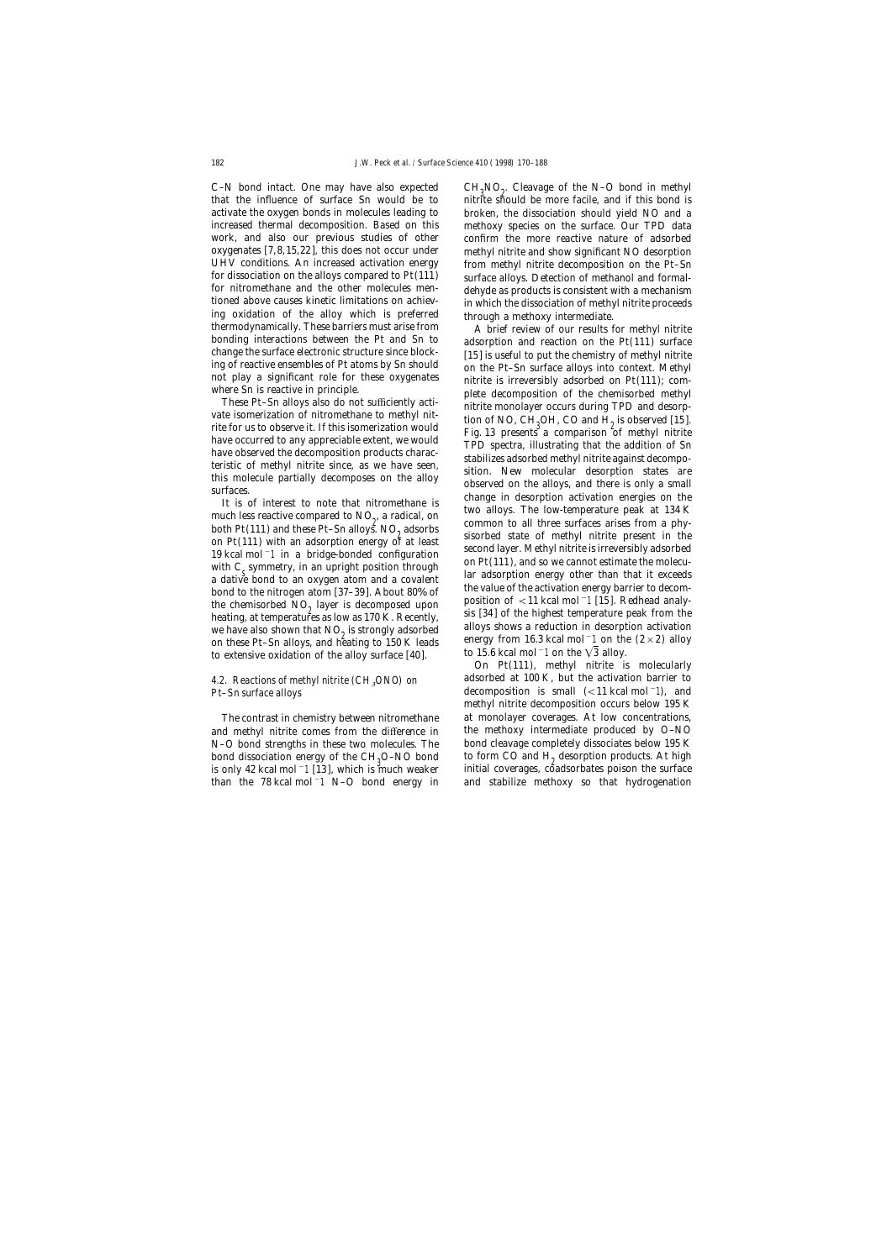C–N bond intact. One may have also expected that the influence of surface Sn would be to activate the oxygen bonds in molecules leading to broken, the dissociation should yield NO and a increased thermal decomposition. Based on this methoxy species on the surface. Our TPD data work, and also our previous studies of other confirm the more reactive nature of adsorbed oxygenates [7,8,15,22], this does not occur under methyl nitrite and show significant NO desorption UHV conditions. An increased activation energy from methyl nitrite decomposition on the Pt-Sn for dissociation on the alloys compared to  $Pt(111)$  surface alloys. Detection of methanol and formalfor nitromethane and the other molecules men-<br>tioned above causes kinetic limitations on achiev-<br>in which the dissociation of methyl nitrite proceeds

much less reactive compared to NO<sub>2</sub>, a radical, on<br>both Pt(111) and these Pt-Sn alloys. NO<sub>2</sub> adsorbs<br>on Pt(111) with an adsorption energy of at least<br>19 kcal mol<sup>-1</sup> in a bridge-bonded configuration<br>with C<sub>2</sub> symmetry, For the meaning of the chamber of the comparation of  $\sigma$  symmetry, in an upright position through<br>a dative bond to an oxygen atom and a covalent<br>bond to the nitrogen atom [37–39]. About 80% of the value of the activation position of  $\lt 11$  kcal mol−1 [15]. Redhead analy-<br>heating, at temperatures as low as 170 K. Recently, sis [34] of the highest temperature peak from the<br>we have also shown that NO is strongly adsorbed alloys shows a redu we have also shown that NO<sub>2</sub> is strongly adsorbed<br>on these Pt-Sn alloys, and heating to 150 K leads<br>to extensive oxidation of the alloy surface [40]. <br>to 15.6 kcal mol<sup>-1</sup> on the  $\sqrt{3}$  alloy.<br>On Pt(111), methyl nitrite

# 4.2. Reactions of methyl nitrite (CH<sub>3</sub>ONO) on

and methyl nitrite comes from the difference in the methoxy intermediate produced by O–NO N-O bond strengths in these two molecules. The bond cleavage completely dissociates below 195 K bond dissociation energy of the CH<sub>2</sub>O–NO bond to form CO and  $H_2$  desorption products. At high  $\frac{1}{2}$  and  $\frac{1}{2}$  bond  $\frac{1}{2}$  and  $\frac{1}{2}$  bond  $\frac{1}{2}$  and  $\frac{1}{2}$  bond  $\frac{1}{2}$  bond  $\frac{1}{2}$  and  $\frac{1}{2}$ is only 42 kcal mol<sup>−1</sup> [13], which is much weaker initial coverages, coadsorbates poison the surface than the 78 kcal mol−1 N–O bond energy in and stabilize methoxy so that hydrogenation

NO<sub>2</sub>. Cleavage of the N-O bond in methyl<br>the should be more fosile, and if this bond is nitrite should be more facile, and if this bond is

tioned above causes kinetic limitations on achieving oxidation of the alloy which is preferred<br>thermodynamically. These barriers must arise from<br>bonding interactions between the Pt and Sn to<br>bonding interactions between t Vale isomerization of intometiane to methyr int-<br>
ite for us to observe it. If this isomerization would<br>
have occurred to any appreciable extent, we would<br>
have observed the decomposition products charac-<br>
teristic of met

*4.2. Reactions of methyl nitrite (CH<sub>3</sub>ONO) on* adsorbed at 100 K, but the activation barrier to *3Pt–Sn surface alloys* decomposition is small (<11 kcal mol<sup>-1</sup>), and decomposition is small (<11 kcal mol<sup>-1</sup>), and methyl nitrite decomposition occurs below 195 K The contrast in chemistry between nitromethane at monolayer coverages. At low concentrations,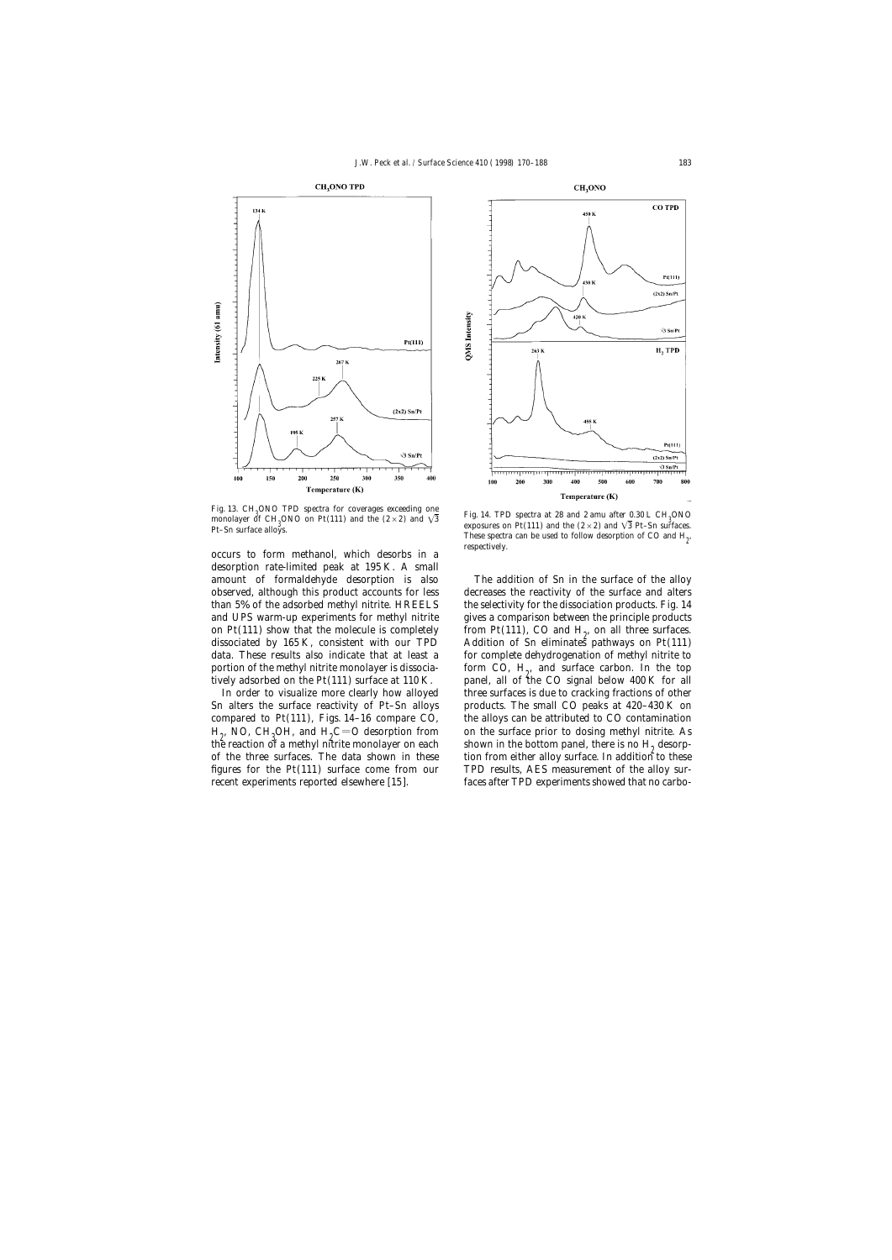![](_page_13_Figure_1.jpeg)

Fig. 13. CH<sub>2</sub>ONO TPD spectra for coverages exceeding one Fig. 13. CH<sub>3</sub>ONO TPD spectra for coverages exceeding one<br>monolayer of CH<sub>3</sub>ONO on Pt(111) and the (2 × 2) and  $\sqrt{3}$  Fig. 14. TPD spectra at 28 and 2 amu after 0.30 L CH<sub>3</sub>ONO<br>Pt. Sp. surfaces allows

occurs to form methanol, which desorbs in a desorption rate-limited peak at 195 K. A small amount of formaldehyde desorption is also The addition of Sn in the surface of the alloy on Pt(111) show that the molecule is completely dissociated by  $165 \text{ K}$ , consistent with our TPD

 $H_p$ , NO, CH<sub>3</sub>OH, and H<sub>2</sub><br>the reaction of a methyl pri

![](_page_13_Figure_5.jpeg)

The CONO on Pt(111) and the (2×2) and  $\sqrt{3}$ <br>
Pt–Sn surface alloys.<br>
Pt–Sn surface alloys.<br>
Pt–Sn surface alloys.<br>
Pt–Sn surface alloys.<br>
These spectra can be used to follow desorption of CO and H<sub>2</sub><br>
respectively. These spectra can be used to follow desorption of CO and  $H_{\alpha}$ ,

observed, although this product accounts for less decreases the reactivity of the surface and alters than 5% of the adsorbed methyl nitrite. HREELS the selectivity for the dissociation products. Fig. 14 and UPS warm-up experiments for methyl nitrite gives a comparison between the principle products from Pt(111), CO and  $H_{\alpha}$ , on all three surfaces. Addition of Sn eliminates pathways on Pt(111) data. These results also indicate that at least a for complete dehydrogenation of methyl nitrite to portion of the methyl nitrite monolayer is dissocia-<br>tively adsorbed on the Pt(111) surface at 110 K. panel, all of the CO signal below 400 K for all panel, all of the CO signal below 400 K for all In order to visualize more clearly how alloyed three surfaces is due to cracking fractions of other Sn alters the surface reactivity of Pt–Sn alloys products. The small CO peaks at 420–430 K on compared to Pt(111), Figs. 14–16 compare CO, the alloys can be attributed to CO contamination on the surface prior to dosing methyl nitrite. As the reaction of a methyl nitrite monolayer on each shown in the bottom panel, there is no  $H_2$  desorp-<br>of the three surfaces. The data shown in these tion from either alloy surface. In addition to these tion from either alloy surface. In addition to these figures for the Pt(111) surface come from our TPD results, AES measurement of the alloy surrecent experiments reported elsewhere [15]. faces after TPD experiments showed that no carbo-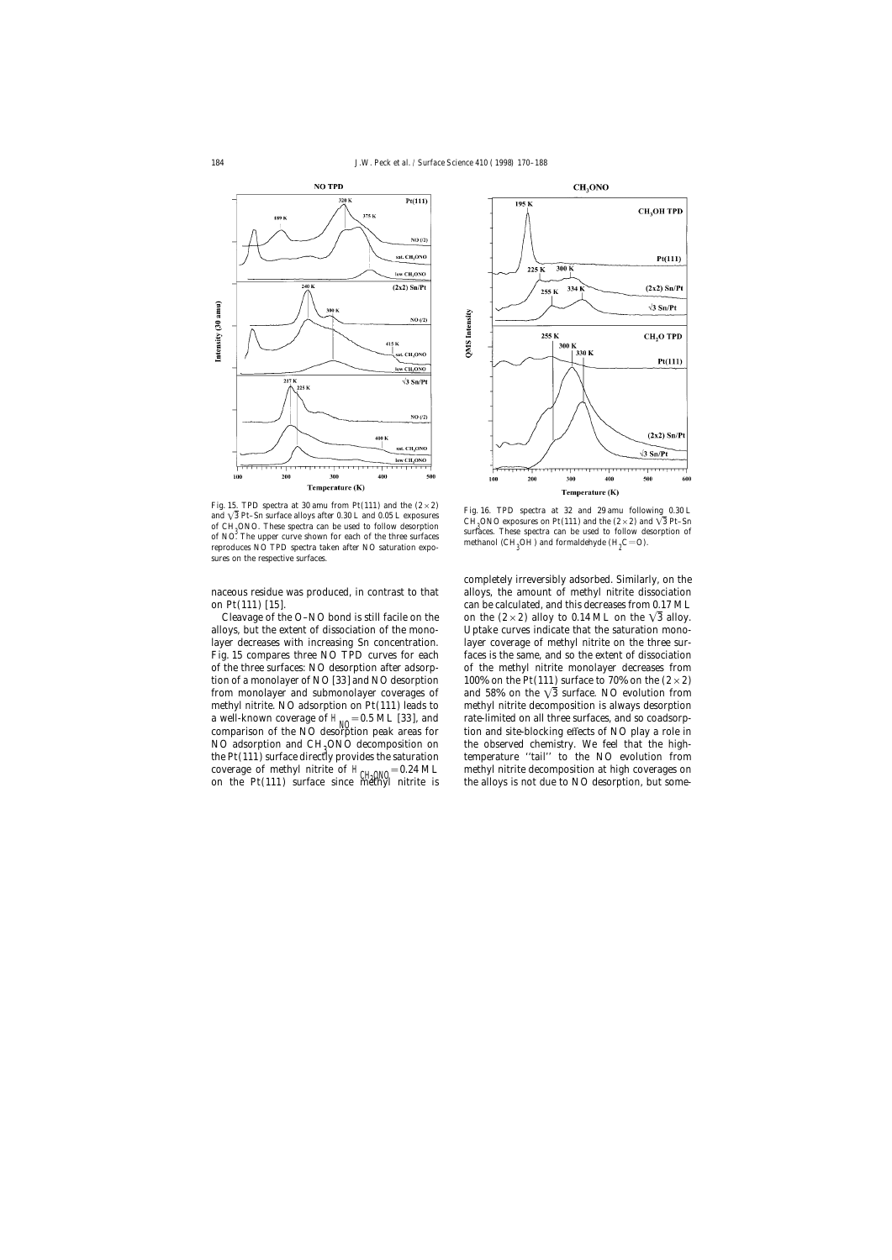![](_page_14_Figure_2.jpeg)

Fig. 15. TPD spectra at 30 amu from Pt(111) and the (2 × 2)<br>and  $\sqrt{3}$  Pt–Sn surface alloys after 0.30 L and 0.05 L exposures comption composures on Pt(111) and the (2 × 2) and  $\sqrt{3}$  Pt–Sn<br>of CH<sub>3</sub>ONO. These spectra ca of CH<sub>3</sub>ONO. These spectra can be used to follow desorption<br>of NO. The upper curve shown for each of the three surfaces. These spectra can be used to follow desorption<br>of NO. The upper curve shown for each of the three su of NO. The upper curve shown for each of the three surfaces reproduces NO TPD spectra taken after NO saturation exposures on the respective surfaces.

comparison of the NO desorption peak areas for NO adsorption and CH<sub>2</sub>ONO decomposition on

![](_page_14_Figure_6.jpeg)

methanol (CH<sub>2</sub>OH) and formaldehyde (H<sub>2</sub>C=O).

completely irreversibly adsorbed. Similarly, on the naceous residue was produced, in contrast to that alloys, the amount of methyl nitrite dissociation on Pt(111) [15]. can be calculated, and this decreases from 0.17 ML Cleavage of the O–NO bond is still facile on the on the  $(2\times 2)$  alloy to 0.14 ML on the  $\sqrt{3}$  alloy. alloys, but the extent of dissociation of the mono- Uptake curves indicate that the saturation monolayer decreases with increasing Sn concentration. layer coverage of methyl nitrite on the three sur-Fig. 15 compares three NO TPD curves for each faces is the same, and so the extent of dissociation of the three surfaces: NO desorption after adsorp- of the methyl nitrite monolayer decreases from tion of a monolayer of NO [33] and NO desorption 100% on the Pt(111) surface to 70% on the  $(2\times2)$ from monolayer and submonolayer coverages of and  $58\%$  on the  $\sqrt{3}$  surface. NO evolution from methyl nitrite. NO adsorption on Pt(111) leads to methyl nitrite decomposition is always desorption a well-known coverage of  $H_{\text{NO}}=0.5$  ML [33], and rate-limited on all three surfaces, and so coadsorp-<br>comparison of the NO desorption peak areas for tion and site-blocking effects of NO play a role in the observed chemistry. We feel that the highthe Pt(111) surface directly provides the saturation temperature ''tail'' to the NO evolution from coverage of methyl nitrite of  $H_{CH_2OMO} = 0.24$  ML and the alloys is not due to NO desorption, but some-<br>on the Pt(111) surface since methyl nitrite is a the alloys is not due to NO desorption, but somemethyl nitrite decomposition at high coverages on<br>the alloys is not due to NO desorption, but some-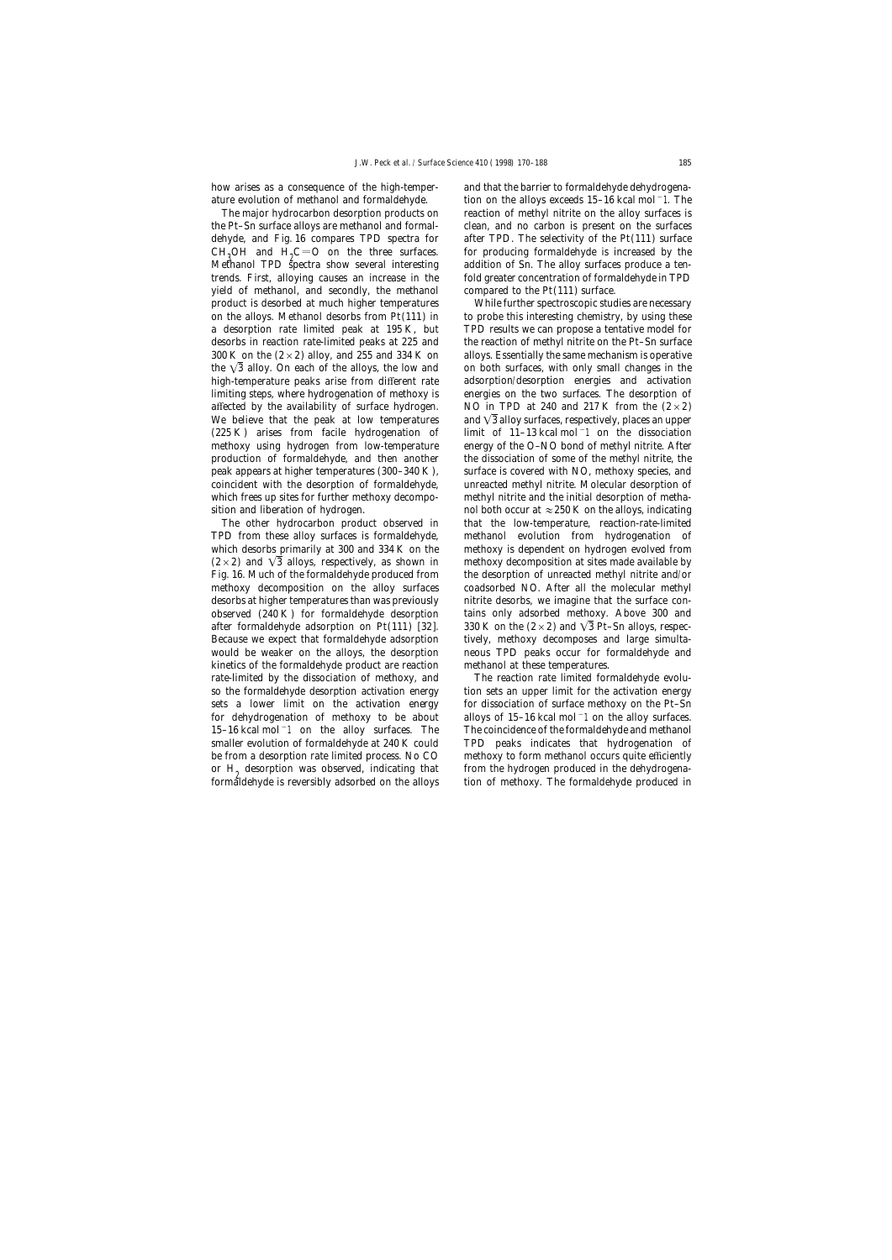the Pt–Sn surface alloys are methanol and formal- clean, and no carbon is present on the surfaces dehyde, and Fig. 16 compares TPD spectra for after TPD. The selectivity of the Pt(111) surface  $CH<sub>2</sub>OH$  and  $H<sub>2</sub>C=O$  on the three surfaces. for producing formaldehyde is increased by the 3 Let  $CH<sub>2</sub>OH$  and  $H<sub>2</sub>CO$  on the three surfaces.  $H<sub>2</sub>CO$  on the three surfaces and interesting a delition of Methanol TPD spectra show several interesting addition of Sn. The alloy surfaces produce a tentrends. First, alloying causes an increase in the fold greater concentration of formaldehyde in TPD yield of methanol, and secondly, the methanol compared to the  $Pt(111)$  surface. product is desorbed at much higher temperatures While further spectroscopic studies are necessary on the alloys. Methanol desorbs from  $Pt(111)$  in to probe this interesting chemistry, by using these a desorption rate limited peak at 195 K, but TPD results we can propose a tentative model for desorbs in reaction rate-limited peaks at 225 and the reaction of methyl nitrite on the Pt–Sn surface 300 K on the  $(2 \times 2)$  alloy, and 255 and 334 K on alloys. Essentially the same mechanism is operative the  $\sqrt{3}$  alloy. On each of the alloys, the low and on both surfaces, with only small changes in the high-temperature peaks arise from different rate adsorption/desorption energies and activation limiting steps, where hydrogenation of methoxy is energies on the two surfaces. The desorption of affected by the availability of surface hydrogen. NO in TPD at 240 and 217 K from the  $(2\times2)$ We believe that the peak at low temperatures and  $\sqrt{3}$  alloy surfaces, respectively, places an upper (225 K) arises from facile hydrogenation of limit of 11–13 kcal mol−1 on the dissociation methoxy using hydrogen from low-temperature energy of the O–NO bond of methyl nitrite. After production of formaldehyde, and then another the dissociation of some of the methyl nitrite, the peak appears at higher temperatures (300–340 K), surface is covered with NO, methoxy species, and coincident with the desorption of formaldehyde, unreacted methyl nitrite. Molecular desorption of which frees up sites for further methoxy decompo-<br>methyl nitrite and the initial desorption of methasition and liberation of hydrogen. noll both occur at  $\approx$  250 K on the alloys, indicating

TPD from these alloy surfaces is formaldehyde, methanol evolution from hydrogenation of which desorbs primarily at 300 and 334 K on the methoxy is dependent on hydrogen evolved from  $(2\times2)$  and  $\sqrt{3}$  alloys, respectively, as shown in methoxy decomposition at sites made available by Fig. 16. Much of the formaldehyde produced from the desorption of unreacted methyl nitrite and/or methoxy decomposition on the alloy surfaces coadsorbed NO. After all the molecular methyl desorbs at higher temperatures than was previously nitrite desorbs, we imagine that the surface conobserved (240 K) for formaldehyde desorption tains only adsorbed methoxy. Above 300 and after formaldehyde adsorption on Pt(111) [32]. 330 K on the  $(2 \times 2)$  and  $\sqrt{3}$  Pt–Sn alloys, respec-Because we expect that formaldehyde adsorption tively, methoxy decomposes and large simultawould be weaker on the alloys, the desorption neous TPD peaks occur for formaldehyde and kinetics of the formaldehyde product are reaction methanol at these temperatures. rate-limited by the dissociation of methoxy, and The reaction rate limited formaldehyde evoluso the formaldehyde desorption activation energy tion sets an upper limit for the activation energy sets a lower limit on the activation energy for dissociation of surface methoxy on the Pt–Sn for dehydrogenation of methoxy to be about alloys of 15–16 kcal mol−1 on the alloy surfaces. 15–16 kcal mol−1 on the alloy surfaces. The The coincidence of the formaldehyde and methanol smaller evolution of formaldehyde at 240 K could TPD peaks indicates that hydrogenation of be from a desorption rate limited process. No CO methoxy to form methanol occurs quite efficiently or  $H_2$  desorption was observed, indicating that from the hydrogen produced in the dehydrogena-<br>formaldehyde is reversibly adsorbed on the alloys tion of methoxy. The formaldehyde produced in

how arises as a consequence of the high-temper- and that the barrier to formaldehyde dehydrogenaature evolution of methanol and formaldehyde. tion on the alloys exceeds 15–16 kcal mol−1. The The major hydrocarbon desorption products on reaction of methyl nitrite on the alloy surfaces is

The other hydrocarbon product observed in that the low-temperature, reaction-rate-limited

tion of methoxy. The formaldehyde produced in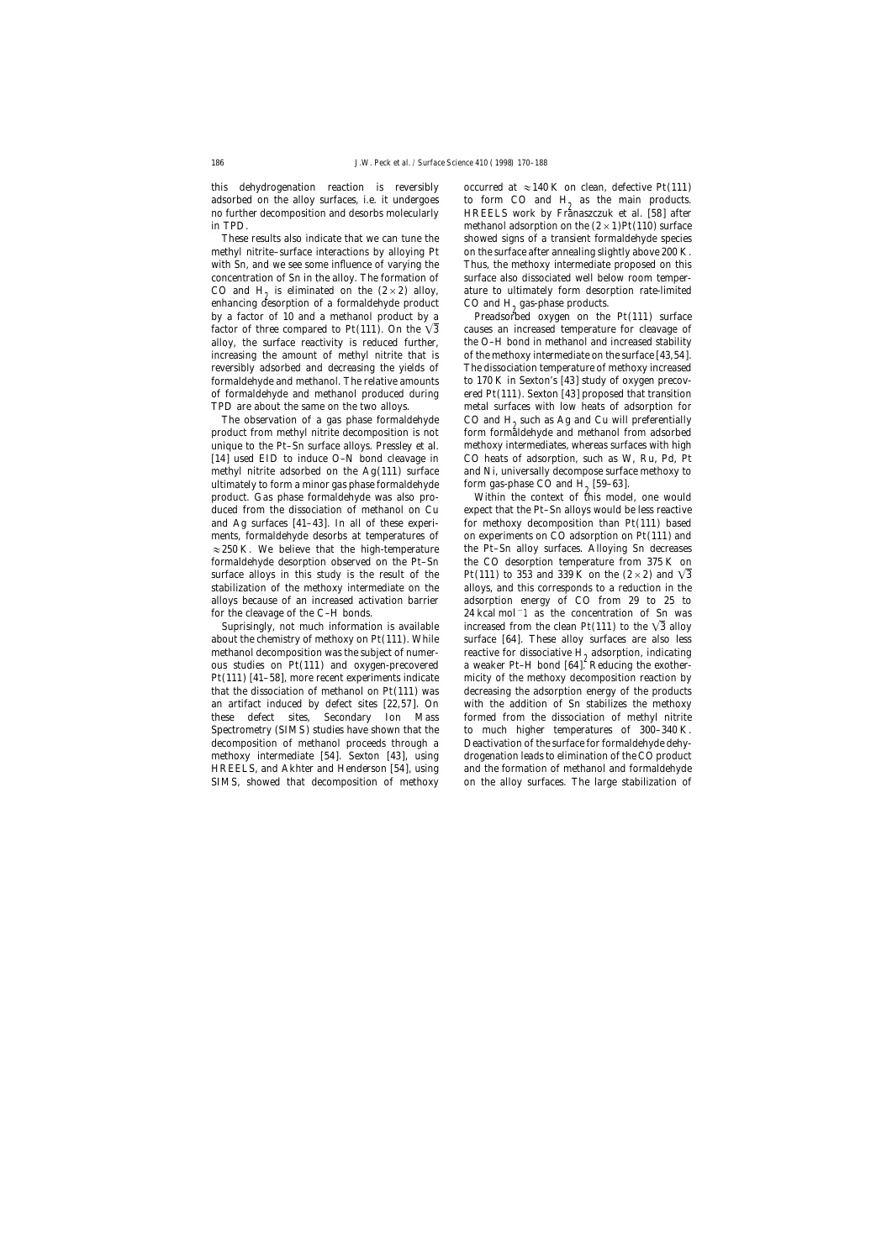this dehydrogenation reaction is reversibly occurred at  $\approx$  140 K on clean, defective Pt(111) adsorbed on the alloy surfaces, i.e. it undergoes and form CO and  $H_2$  as the main products.<br>no further decomposition and desorbs molecularly HREELS work by Franaszczuk et al. [58] after

methyl nitrite–surface interactions by alloying Pt on the surface after annealing slightly above 200 K. with Sn, and we see some influence of varying the Thus, the methoxy intermediate proposed on this concentration of Sn in the alloy. The formation of surface also dissociated well below room temper-CO and H<sub>2</sub> is eliminated on the (2 × 2) alloy, ature to ultimately form desorption rate-limited enhancing desorption of a formal dehyde product CO and H<sub>2</sub> gas-phase products. enhancing desorption of a formaldehyde product  $\bigcirc$  CO and  $H_2$  gas-phase products.<br>by a factor of 10 and a methanol product by a Preadsorbed oxygen on the Pt(111) surface by a factor of 10 and a methanol product by a factor of three compared to Pt(111). On the  $\sqrt{3}$  causes an increased temperature for cleavage of alloy, the surface reactivity is reduced further, the O–H bond in methanol and increased stability increasing the amount of methyl nitrite that is of the methoxy intermediate on the surface [43,54]. reversibly adsorbed and decreasing the yields of The dissociation temperature of methoxy increased formaldehyde and methanol. The relative amounts to 170 K in Sexton's [43] study of oxygen precovof formaldehyde and methanol produced during ered Pt(111). Sexton [43] proposed that transition TPD are about the same on the two alloys. metal surfaces with low heats of adsorption for

The observation of a gas phase formaldehyde  $CO$  and  $H_2$  such as Ag and Cu will preferentially product from methyl nitrite decomposition is not form formaldehyde and methanol from adsorbed unique to the Pt–Sn surface alloys. Pressley et al. methoxy intermediates, whereas surfaces with high [14] used EID to induce O–N bond cleavage in CO heats of adsorption, such as W, Ru, Pd, Pt methyl nitrite adsorbed on the Ag(111) surface and Ni, universally decompose surface methoxy to ultimately to form a minor gas phase formaldehyde form gas-phase CO and  $H<sub>2</sub>$  [59–63].<br>product. Gas phase formaldehyde was also pro-<br>Within the context of this model, one would product. Gas phase formaldehyde was also produced from the dissociation of methanol on Cu expect that the Pt–Sn alloys would be less reactive and Ag surfaces [41–43]. In all of these experi- for methoxy decomposition than Pt(111) based ments, formaldehyde desorbs at temperatures of on experiments on CO adsorption on Pt(111) and  $\approx$  250 K. We believe that the high-temperature the Pt–Sn alloy surfaces. Alloying Sn decreases formaldehyde desorption observed on the Pt–Sn the CO desorption temperature from 375 K on surface alloys in this study is the result of the Pt(111) to 353 and 339 K on the  $(2 \times 2)$  and  $\sqrt{3}$ stabilization of the methoxy intermediate on the alloys, and this corresponds to a reduction in the alloys because of an increased activation barrier adsorption energy of CO from 29 to 25 to for the cleavage of the C–H bonds. 24 kcal mol−1 as the concentration of Sn was

about the chemistry of methoxy on Pt(111). While surface [64]. These alloy surfaces are also less methanol decomposition was the subject of numer-<br>our stative for dissociative  $H_2$  adsorption, indicating<br>ous studies on Pt(111) and oxygen-precovered a weaker Pt-H bond [64]. Reducing the exother-Pt(111) [41–58], more recent experiments indicate micity of the methoxy decomposition reaction by that the dissociation of methanol on Pt(111) was decreasing the adsorption energy of the products an artifact induced by defect sites [22,57]. On with the addition of Sn stabilizes the methoxy these defect sites, Secondary Ion Mass formed from the dissociation of methyl nitrite Spectrometry (SIMS) studies have shown that the to much higher temperatures of 300–340 K. decomposition of methanol proceeds through a Deactivation of the surface for formaldehyde dehymethoxy intermediate [54]. Sexton [43], using drogenation leads to elimination of the CO product HREELS, and Akhter and Henderson [54], using and the formation of methanol and formaldehyde SIMS, showed that decomposition of methoxy on the alloy surfaces. The large stabilization of

HREELS work by Franaszczuk et al. [58] after in TPD. methanol adsorption on the  $(2 \times 1)$ Pt(110) surface These results also indicate that we can tune the showed signs of a transient formaldehyde species

form formaldehyde and methanol from adsorbed

Suprisingly, not much information is available increased from the clean Pt(111) to the  $\sqrt{3}$  alloy a weaker Pt–H bond  $[64]$ . Reducing the exother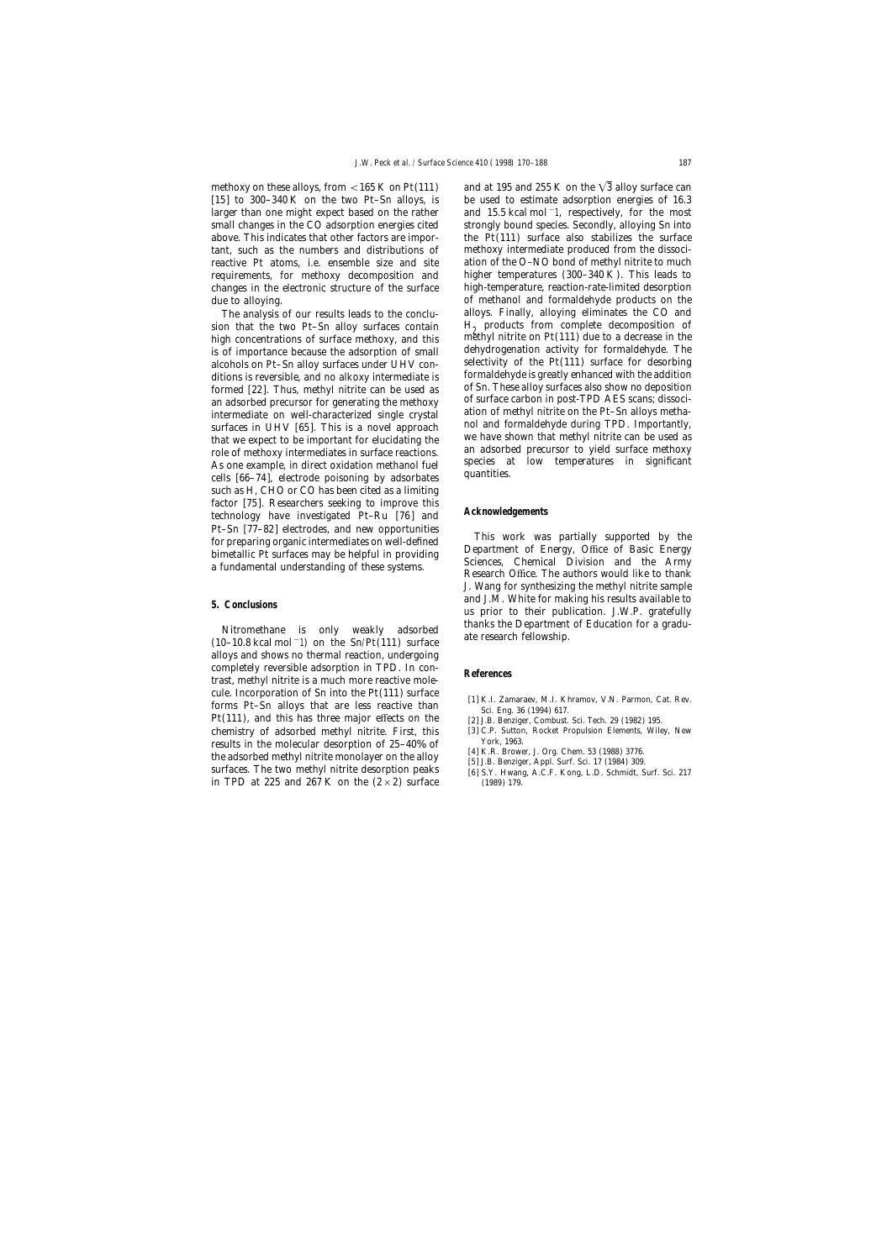methoxy on these alloys, from  $\lt$  165 K on Pt(111) and at 195 and 255 K on the  $\sqrt{3}$  alloy surface can

The analysis of our results leads to the concluis of importance because the adsorption of small an adsorbed precursor for generating the methoxy<br>intermediate on well-characterized single crystal<br>surfaces in UHV [65]. This is a novel approach<br>that we expect to be important for elucidating the<br>role of methoxy intermedi such as H, CHO or CO has been cited as a limiting factor [75]. Researchers seeking to improve this **Acknowledgements** technology have investigated Pt–Ru [76] and

alloys and shows no thermal reaction, undergoing completely reversible adsorption in TPD. In con- **References** trast, methyl nitrite is a much more reactive molecule. Incorporation of Sn into the Pt(111) surface [1] K.I. Zamaraev, M.I. Khramov, V.N. Parmon, Cat. Rev. [1] K.I. Zamaraev, M.I. Khramov, V.N. Parmon, Cat. Rev. Sci. Eng. 36 (1994) 617. Pt(111), and this has three major effects on the [2] J.B. Benziger, Combust. Sci. Tech. 29 (1982) 195. chemistry of adsorbed methyl nitrite. First, this [3] C.P. Sutton, Rocket Propulsion Elements, Wiley, New<br>results in the molecular description of 25, 40% of York, 1963. results in the molecular desorption of  $25-40\%$  of  $\frac{\text{York}}{4}$  K.R. Brower, J. Org. Chem. 53 (1988) 3776. the adsorbed methyl nitrite monolayer on the alloy<br>surfaces. The two methyl nitrite desorption peaks<br> $\begin{array}{c} \text{[3] J.B. Benziger, Appl. Surf. Sci. 17 (1984) 309.} \\ \text{[6] S.Y. Hwang, A.C.F. Kong, L.D. Schmidt, Surf. Sci. 217.} \end{array}$ in TPD at 225 and 267 K on the  $(2 \times 2)$  surface (1989) 179.

[15] to 300–340 K on the two Pt–Sn alloys, is be used to estimate adsorption energies of 16.3 larger than one might expect based on the rather and 15.5 kcal mol−1, respectively, for the most small changes in the CO adsorption energies cited strongly bound species. Secondly, alloying Sn into above. This indicates that other factors are impor- the Pt(111) surface also stabilizes the surface tant, such as the numbers and distributions of methoxy intermediate produced from the dissocireactive Pt atoms, i.e. ensemble size and site ation of the O–NO bond of methyl nitrite to much requirements, for methoxy decomposition and higher temperatures (300–340 K). This leads to changes in the electronic structure of the surface high-temperature, reaction-rate-limited desorption due to alloying.<br>The analysis of our results leads to the conclu-<br>alloys. Finally, alloying eliminates the CO and sion that the two Pt–Sn alloy surfaces contain  $H_2$  products from complete decomposition of high concentrations of surface methoxy and this methyl nitrite on Pt(111) due to a decrease in the high concentrations of surface methoxy, and this methyl nitrite on Pt(111) due to a decrease in the<br>is of importance because the adsorption of small dehydrogenation activity for formaldehyde. The alcohols on Pt–Sn alloy surfaces under UHV con-<br>ditions is reversible and no alloy intermediate is<br>formaldehyde is greatly enhanced with the addition<br>ditions is reversible and no alloy intermediate is<br>formaldehyde is grea ditions is reversible, and no alkoxy intermediate is formaldehyde is greatly enhanced with the addition<br>formed [22] Thus methyl nitrite can be used as formal of Sn. These alloy surfaces also show no deposition formed [22]. Thus, methyl nitrite can be used as of Sn. These alloy surfaces also show no deposition<br>an adsorbed precursor for generating the methovy of surface carbon in post-TPD AES scans; dissoci-

Pt–Sn [77–82] electrodes, and new opportunities<br>for preparing organic intermediates on well-defined<br>bimetallic Pt surfaces may be helpful in providing<br>a fundamental understanding of these systems.<br>Research Office. The auth J. Wang for synthesizing the methyl nitrite sample and J.M. White for making his results available to **5. Conclusions** us prior to their publication. J.W.P. gratefully Nitromethane is only weakly adsorbed thanks the Department of Education for a gradu-<br>
(10–10.8 kcal mol−1) on the Sn/Pt(111) surface ate research fellowship.

- 
- 
- 
- 
- 
-